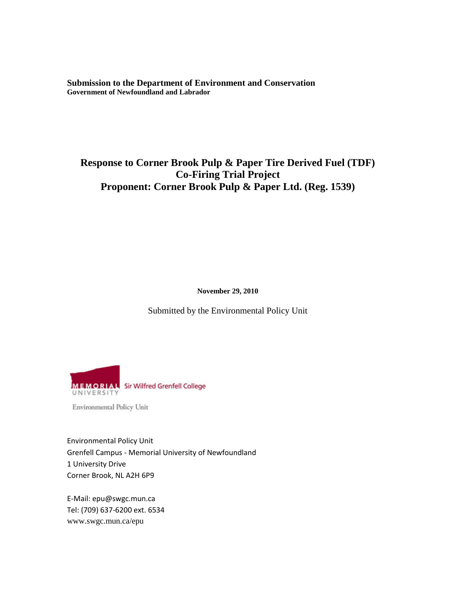**Submission to the Department of Environment and Conservation Government of Newfoundland and Labrador**

# **Response to Corner Brook Pulp & Paper Tire Derived Fuel (TDF) Co-Firing Trial Project Proponent: Corner Brook Pulp & Paper Ltd. (Reg. 1539)**

**November 29, 2010**

Submitted by the Environmental Policy Unit



Environmental Policy Unit

Environmental Policy Unit Grenfell Campus - Memorial University of Newfoundland 1 University Drive Corner Brook, NL A2H 6P9

E-Mail: epu@swgc.mun.ca Tel: (709) 637-6200 ext. 6534 www.swgc.mun.ca/epu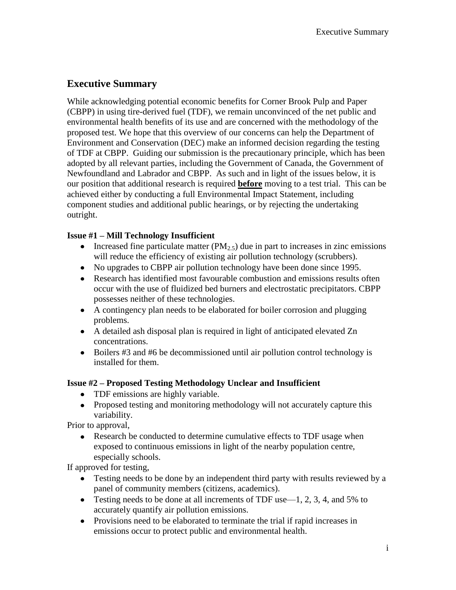# **Executive Summary**

While acknowledging potential economic benefits for Corner Brook Pulp and Paper (CBPP) in using tire-derived fuel (TDF), we remain unconvinced of the net public and environmental health benefits of its use and are concerned with the methodology of the proposed test. We hope that this overview of our concerns can help the Department of Environment and Conservation (DEC) make an informed decision regarding the testing of TDF at CBPP. Guiding our submission is the precautionary principle, which has been adopted by all relevant parties, including the Government of Canada, the Government of Newfoundland and Labrador and CBPP. As such and in light of the issues below, it is our position that additional research is required **before** moving to a test trial. This can be achieved either by conducting a full Environmental Impact Statement, including component studies and additional public hearings, or by rejecting the undertaking outright.

## **Issue #1 – Mill Technology Insufficient**

- Increased fine particulate matter  $(PM<sub>2.5</sub>)$  due in part to increases in zinc emissions will reduce the efficiency of existing air pollution technology (scrubbers).
- No upgrades to CBPP air pollution technology have been done since 1995.
- Research has identified most favourable combustion and emissions results often occur with the use of fluidized bed burners and electrostatic precipitators. CBPP possesses neither of these technologies.
- A contingency plan needs to be elaborated for boiler corrosion and plugging problems.
- A detailed ash disposal plan is required in light of anticipated elevated Zn concentrations.
- Boilers #3 and #6 be decommissioned until air pollution control technology is installed for them.

## **Issue #2 – Proposed Testing Methodology Unclear and Insufficient**

- TDF emissions are highly variable.
- Proposed testing and monitoring methodology will not accurately capture this variability.

Prior to approval,

Research be conducted to determine cumulative effects to TDF usage when exposed to continuous emissions in light of the nearby population centre, especially schools.

If approved for testing,

- Testing needs to be done by an independent third party with results reviewed by a panel of community members (citizens, academics).
- Testing needs to be done at all increments of TDF use  $-1$ , 2, 3, 4, and 5% to accurately quantify air pollution emissions.
- Provisions need to be elaborated to terminate the trial if rapid increases in emissions occur to protect public and environmental health.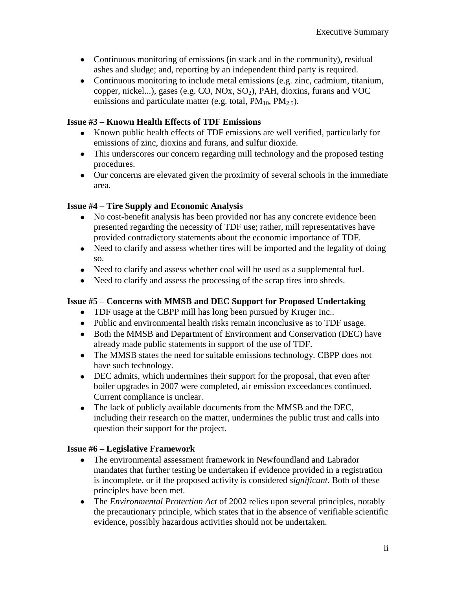- Continuous monitoring of emissions (in stack and in the community), residual ashes and sludge; and, reporting by an independent third party is required.
- Continuous monitoring to include metal emissions (e.g. zinc, cadmium, titanium, copper, nickel...), gases (e.g. CO, NOx,  $SO<sub>2</sub>$ ), PAH, dioxins, furans and VOC emissions and particulate matter (e.g. total,  $PM_{10}$ ,  $PM_{2.5}$ ).

## **Issue #3 – Known Health Effects of TDF Emissions**

- Known public health effects of TDF emissions are well verified, particularly for emissions of zinc, dioxins and furans, and sulfur dioxide.
- This underscores our concern regarding mill technology and the proposed testing procedures.
- Our concerns are elevated given the proximity of several schools in the immediate area.

## **Issue #4 – Tire Supply and Economic Analysis**

- No cost-benefit analysis has been provided nor has any concrete evidence been presented regarding the necessity of TDF use; rather, mill representatives have provided contradictory statements about the economic importance of TDF.
- Need to clarify and assess whether tires will be imported and the legality of doing so.
- Need to clarify and assess whether coal will be used as a supplemental fuel.
- Need to clarify and assess the processing of the scrap tires into shreds.

## **Issue #5 – Concerns with MMSB and DEC Support for Proposed Undertaking**

- TDF usage at the CBPP mill has long been pursued by Kruger Inc..
- Public and environmental health risks remain inconclusive as to TDF usage.
- Both the MMSB and Department of Environment and Conservation (DEC) have already made public statements in support of the use of TDF.
- The MMSB states the need for suitable emissions technology. CBPP does not have such technology.
- DEC admits, which undermines their support for the proposal, that even after boiler upgrades in 2007 were completed, air emission exceedances continued. Current compliance is unclear.
- The lack of publicly available documents from the MMSB and the DEC, including their research on the matter, undermines the public trust and calls into question their support for the project.

#### **Issue #6 – Legislative Framework**

- The environmental assessment framework in Newfoundland and Labrador mandates that further testing be undertaken if evidence provided in a registration is incomplete, or if the proposed activity is considered *significant*. Both of these principles have been met.
- The *Environmental Protection Act* of 2002 relies upon several principles, notably the precautionary principle, which states that in the absence of verifiable scientific evidence, possibly hazardous activities should not be undertaken.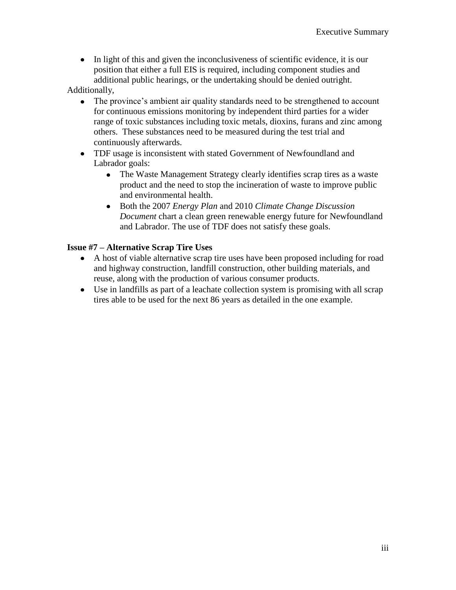In light of this and given the inconclusiveness of scientific evidence, it is our position that either a full EIS is required, including component studies and additional public hearings, or the undertaking should be denied outright.

Additionally,

- The province's ambient air quality standards need to be strengthened to account for continuous emissions monitoring by independent third parties for a wider range of toxic substances including toxic metals, dioxins, furans and zinc among others. These substances need to be measured during the test trial and continuously afterwards.
- TDF usage is inconsistent with stated Government of Newfoundland and Labrador goals:
	- The Waste Management Strategy clearly identifies scrap tires as a waste product and the need to stop the incineration of waste to improve public and environmental health.
	- Both the 2007 *Energy Plan* and 2010 *Climate Change Discussion*   $\bullet$ *Document* chart a clean green renewable energy future for Newfoundland and Labrador. The use of TDF does not satisfy these goals.

## **Issue #7 – Alternative Scrap Tire Uses**

- A host of viable alternative scrap tire uses have been proposed including for road and highway construction, landfill construction, other building materials, and reuse, along with the production of various consumer products.
- Use in landfills as part of a leachate collection system is promising with all scrap tires able to be used for the next 86 years as detailed in the one example.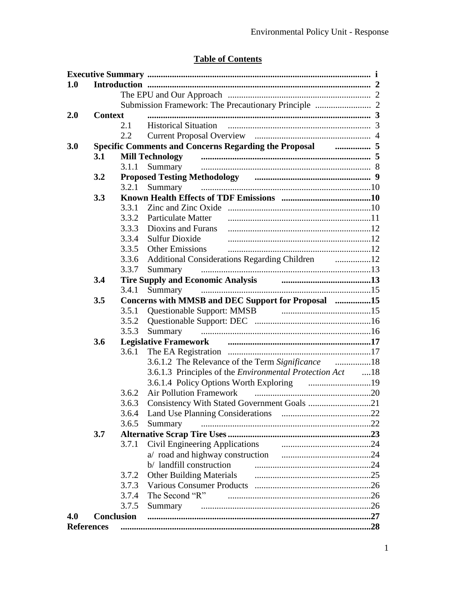# **Table of Contents**

| 1.0 |                                                                          |               |                                                                             |  |
|-----|--------------------------------------------------------------------------|---------------|-----------------------------------------------------------------------------|--|
|     |                                                                          |               |                                                                             |  |
|     |                                                                          |               |                                                                             |  |
| 2.0 | <b>Context</b>                                                           |               |                                                                             |  |
|     |                                                                          | 2.1           |                                                                             |  |
|     |                                                                          | $2.2^{\circ}$ |                                                                             |  |
| 3.0 | <b>Specific Comments and Concerns Regarding the Proposal Community 5</b> |               |                                                                             |  |
|     | 3.1                                                                      |               | Mill Technology minimumaning minimum minimum minimum 5                      |  |
|     |                                                                          | 3.1.1         | Summary                                                                     |  |
|     | 3.2                                                                      |               | Proposed Testing Methodology manual manual manual manual 9                  |  |
|     |                                                                          | 3.2.1         | Summary                                                                     |  |
|     | 3.3                                                                      |               |                                                                             |  |
|     |                                                                          | 3.3.1         |                                                                             |  |
|     |                                                                          | 3.3.2         | Particulate Matter                                                          |  |
|     |                                                                          | 3.3.3         | Dioxins and Furans                                                          |  |
|     |                                                                          | 3.3.4         | <b>Sulfur Dioxide</b>                                                       |  |
|     |                                                                          | 3.3.5         | <b>Other Emissions</b>                                                      |  |
|     |                                                                          | 3.3.6         |                                                                             |  |
|     |                                                                          | 3.3.7         | Summary                                                                     |  |
|     | 3.4                                                                      |               | Tire Supply and Economic Analysis <b>Constanting Contract Constructs</b> 23 |  |
|     |                                                                          | 3.4.1         | Summary                                                                     |  |
|     | 3.5                                                                      |               | Concerns with MMSB and DEC Support for Proposal 15                          |  |
|     |                                                                          | 3.5.1         |                                                                             |  |
|     |                                                                          | 3.5.2         |                                                                             |  |
|     |                                                                          | 3.5.3         | Summary                                                                     |  |
|     | 3.6                                                                      |               |                                                                             |  |
|     |                                                                          | 3.6.1         |                                                                             |  |
|     |                                                                          |               |                                                                             |  |
|     |                                                                          |               | 3.6.1.3 Principles of the <i>Environmental Protection Act</i> 18            |  |
|     |                                                                          |               |                                                                             |  |
|     |                                                                          | 3.6.2         | <b>Air Pollution Framework</b>                                              |  |
|     |                                                                          | 3.6.3         | Consistency With Stated Government Goals 21                                 |  |
|     |                                                                          | 3.6.4         |                                                                             |  |
|     |                                                                          | 3.6.5         | Summary                                                                     |  |
|     | 3.7                                                                      |               |                                                                             |  |
|     |                                                                          | 3.7.1         |                                                                             |  |
|     |                                                                          |               |                                                                             |  |
|     |                                                                          |               |                                                                             |  |
|     |                                                                          | 3.7.2         |                                                                             |  |
|     |                                                                          | 3.7.3         |                                                                             |  |
|     |                                                                          | 3.7.4         | The Second "R"                                                              |  |
|     |                                                                          | 3.7.5         | Summary                                                                     |  |
| 4.0 | <b>Conclusion</b>                                                        |               |                                                                             |  |
|     | <b>References</b>                                                        |               |                                                                             |  |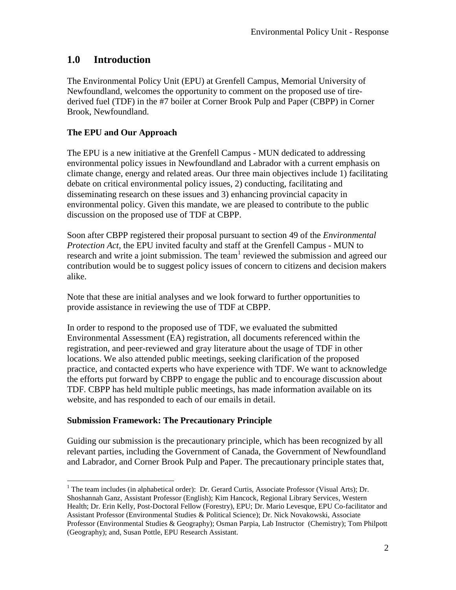# **1.0 Introduction**

The Environmental Policy Unit (EPU) at Grenfell Campus, Memorial University of Newfoundland, welcomes the opportunity to comment on the proposed use of tirederived fuel (TDF) in the #7 boiler at Corner Brook Pulp and Paper (CBPP) in Corner Brook, Newfoundland.

## **The EPU and Our Approach**

The EPU is a new initiative at the Grenfell Campus - MUN dedicated to addressing environmental policy issues in Newfoundland and Labrador with a current emphasis on climate change, energy and related areas. Our three main objectives include 1) facilitating debate on critical environmental policy issues, 2) conducting, facilitating and disseminating research on these issues and 3) enhancing provincial capacity in environmental policy. Given this mandate, we are pleased to contribute to the public discussion on the proposed use of TDF at CBPP.

Soon after CBPP registered their proposal pursuant to section 49 of the *Environmental Protection Act*, the EPU invited faculty and staff at the Grenfell Campus - MUN to research and write a joint submission. The team  $1$  reviewed the submission and agreed our contribution would be to suggest policy issues of concern to citizens and decision makers alike.

Note that these are initial analyses and we look forward to further opportunities to provide assistance in reviewing the use of TDF at CBPP.

In order to respond to the proposed use of TDF, we evaluated the submitted Environmental Assessment (EA) registration, all documents referenced within the registration, and peer-reviewed and gray literature about the usage of TDF in other locations. We also attended public meetings, seeking clarification of the proposed practice, and contacted experts who have experience with TDF. We want to acknowledge the efforts put forward by CBPP to engage the public and to encourage discussion about TDF. CBPP has held multiple public meetings, has made information available on its website, and has responded to each of our emails in detail.

#### **Submission Framework: The Precautionary Principle**

 $\overline{a}$ 

Guiding our submission is the precautionary principle, which has been recognized by all relevant parties, including the Government of Canada, the Government of Newfoundland and Labrador, and Corner Brook Pulp and Paper. The precautionary principle states that,

<sup>&</sup>lt;sup>1</sup> The team includes (in alphabetical order): Dr. Gerard Curtis, Associate Professor (Visual Arts); Dr. Shoshannah Ganz, Assistant Professor (English); Kim Hancock, Regional Library Services, Western Health; Dr. Erin Kelly, Post-Doctoral Fellow (Forestry), EPU; Dr. Mario Levesque, EPU Co-facilitator and Assistant Professor (Environmental Studies & Political Science); Dr. Nick Novakowski, Associate Professor (Environmental Studies & Geography); Osman Parpia, Lab Instructor (Chemistry); Tom Philpott (Geography); and, Susan Pottle, EPU Research Assistant.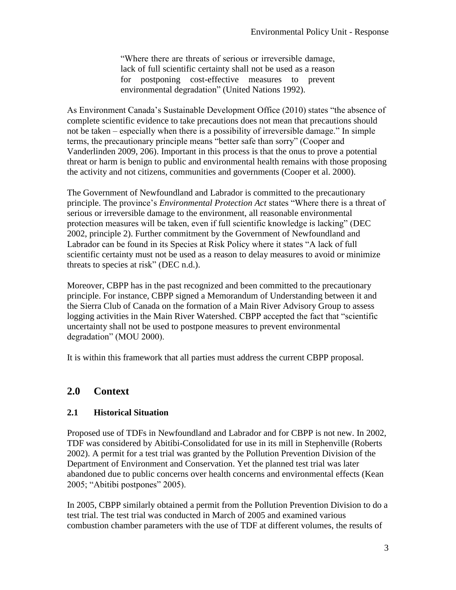―Where there are threats of serious or irreversible damage, lack of full scientific certainty shall not be used as a reason for postponing cost-effective measures to prevent environmental degradation" (United Nations 1992).

As Environment Canada's Sustainable Development Office (2010) states "the absence of complete scientific evidence to take precautions does not mean that precautions should not be taken – especially when there is a possibility of irreversible damage." In simple terms, the precautionary principle means "better safe than sorry" (Cooper and Vanderlinden 2009, 206). Important in this process is that the onus to prove a potential threat or harm is benign to public and environmental health remains with those proposing the activity and not citizens, communities and governments (Cooper et al. 2000).

The Government of Newfoundland and Labrador is committed to the precautionary principle. The province's *Environmental Protection Act* states "Where there is a threat of serious or irreversible damage to the environment, all reasonable environmental protection measures will be taken, even if full scientific knowledge is lacking" (DEC 2002, principle 2). Further commitment by the Government of Newfoundland and Labrador can be found in its Species at Risk Policy where it states "A lack of full scientific certainty must not be used as a reason to delay measures to avoid or minimize threats to species at risk" (DEC  $n.d.$ ).

Moreover, CBPP has in the past recognized and been committed to the precautionary principle. For instance, CBPP signed a Memorandum of Understanding between it and the Sierra Club of Canada on the formation of a Main River Advisory Group to assess logging activities in the Main River Watershed. CBPP accepted the fact that "scientific uncertainty shall not be used to postpone measures to prevent environmental degradation" (MOU 2000).

It is within this framework that all parties must address the current CBPP proposal.

# **2.0 Context**

#### **2.1 Historical Situation**

Proposed use of TDFs in Newfoundland and Labrador and for CBPP is not new. In 2002, TDF was considered by Abitibi-Consolidated for use in its mill in Stephenville (Roberts 2002). A permit for a test trial was granted by the Pollution Prevention Division of the Department of Environment and Conservation. Yet the planned test trial was later abandoned due to public concerns over health concerns and environmental effects (Kean 2005; "Abitibi postpones" 2005).

In 2005, CBPP similarly obtained a permit from the Pollution Prevention Division to do a test trial. The test trial was conducted in March of 2005 and examined various combustion chamber parameters with the use of TDF at different volumes, the results of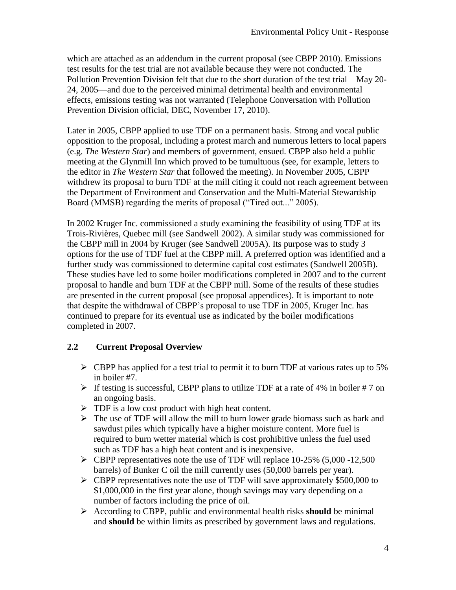which are attached as an addendum in the current proposal (see CBPP 2010). Emissions test results for the test trial are not available because they were not conducted. The Pollution Prevention Division felt that due to the short duration of the test trial—May 20- 24, 2005—and due to the perceived minimal detrimental health and environmental effects, emissions testing was not warranted (Telephone Conversation with Pollution Prevention Division official, DEC, November 17, 2010).

Later in 2005, CBPP applied to use TDF on a permanent basis. Strong and vocal public opposition to the proposal, including a protest march and numerous letters to local papers (e.g. *The Western Star*) and members of government, ensued. CBPP also held a public meeting at the Glynmill Inn which proved to be tumultuous (see, for example, letters to the editor in *The Western Star* that followed the meeting). In November 2005, CBPP withdrew its proposal to burn TDF at the mill citing it could not reach agreement between the Department of Environment and Conservation and the Multi-Material Stewardship Board (MMSB) regarding the merits of proposal ("Tired out..." 2005).

In 2002 Kruger Inc. commissioned a study examining the feasibility of using TDF at its Trois-Rivières, Quebec mill (see Sandwell 2002). A similar study was commissioned for the CBPP mill in 2004 by Kruger (see Sandwell 2005A). Its purpose was to study 3 options for the use of TDF fuel at the CBPP mill. A preferred option was identified and a further study was commissioned to determine capital cost estimates (Sandwell 2005B). These studies have led to some boiler modifications completed in 2007 and to the current proposal to handle and burn TDF at the CBPP mill. Some of the results of these studies are presented in the current proposal (see proposal appendices). It is important to note that despite the withdrawal of CBPP's proposal to use TDF in 2005, Kruger Inc. has continued to prepare for its eventual use as indicated by the boiler modifications completed in 2007.

#### **2.2 Current Proposal Overview**

- $\triangleright$  CBPP has applied for a test trial to permit it to burn TDF at various rates up to 5% in boiler #7.
- $\triangleright$  If testing is successful, CBPP plans to utilize TDF at a rate of 4% in boiler #7 on an ongoing basis.
- $\triangleright$  TDF is a low cost product with high heat content.
- $\triangleright$  The use of TDF will allow the mill to burn lower grade biomass such as bark and sawdust piles which typically have a higher moisture content. More fuel is required to burn wetter material which is cost prohibitive unless the fuel used such as TDF has a high heat content and is inexpensive.
- $\triangleright$  CBPP representatives note the use of TDF will replace 10-25% (5,000 -12,500) barrels) of Bunker C oil the mill currently uses (50,000 barrels per year).
- CBPP representatives note the use of TDF will save approximately \$500,000 to \$1,000,000 in the first year alone, though savings may vary depending on a number of factors including the price of oil.
- According to CBPP, public and environmental health risks **should** be minimal and **should** be within limits as prescribed by government laws and regulations.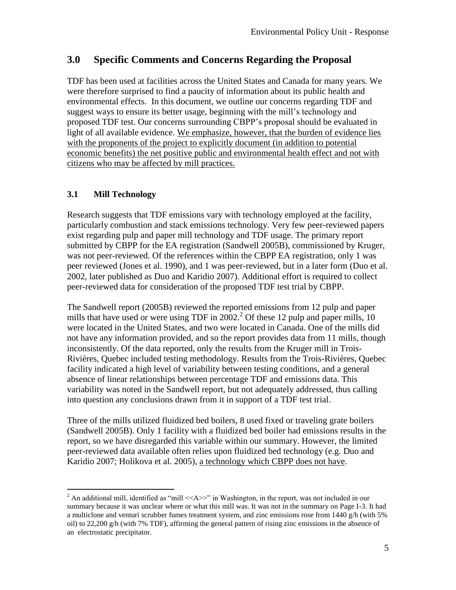# **3.0 Specific Comments and Concerns Regarding the Proposal**

TDF has been used at facilities across the United States and Canada for many years. We were therefore surprised to find a paucity of information about its public health and environmental effects. In this document, we outline our concerns regarding TDF and suggest ways to ensure its better usage, beginning with the mill's technology and proposed TDF test. Our concerns surrounding CBPP's proposal should be evaluated in light of all available evidence. We emphasize, however, that the burden of evidence lies with the proponents of the project to explicitly document (in addition to potential economic benefits) the net positive public and environmental health effect and not with citizens who may be affected by mill practices.

## **3.1 Mill Technology**

Research suggests that TDF emissions vary with technology employed at the facility, particularly combustion and stack emissions technology. Very few peer-reviewed papers exist regarding pulp and paper mill technology and TDF usage. The primary report submitted by CBPP for the EA registration (Sandwell 2005B), commissioned by Kruger, was not peer-reviewed. Of the references within the CBPP EA registration, only 1 was peer reviewed (Jones et al. 1990), and 1 was peer-reviewed, but in a later form (Duo et al. 2002, later published as Duo and Karidio 2007). Additional effort is required to collect peer-reviewed data for consideration of the proposed TDF test trial by CBPP.

The Sandwell report (2005B) reviewed the reported emissions from 12 pulp and paper mills that have used or were using TDF in 2002.<sup>2</sup> Of these 12 pulp and paper mills, 10 were located in the United States, and two were located in Canada. One of the mills did not have any information provided, and so the report provides data from 11 mills, though inconsistently. Of the data reported, only the results from the Kruger mill in Trois-Rivières, Quebec included testing methodology. Results from the Trois-Rivières, Quebec facility indicated a high level of variability between testing conditions, and a general absence of linear relationships between percentage TDF and emissions data. This variability was noted in the Sandwell report, but not adequately addressed, thus calling into question any conclusions drawn from it in support of a TDF test trial.

Three of the mills utilized fluidized bed boilers, 8 used fixed or traveling grate boilers (Sandwell 2005B). Only 1 facility with a fluidized bed boiler had emissions results in the report, so we have disregarded this variable within our summary. However, the limited peer-reviewed data available often relies upon fluidized bed technology (e.g. Duo and Karidio 2007; Holikova et al. 2005), a technology which CBPP does not have.

 $\overline{a}$ <sup>2</sup> An additional mill, identified as "mill  $\ll$ A $\gg$ " in Washington, in the report, was not included in our summary because it was unclear where or what this mill was. It was not in the summary on Page I-3. It had a multiclone and venturi scrubber fumes treatment system, and zinc emissions rose from 1440 g/h (with 5% oil) to 22,200 g/h (with 7% TDF), affirming the general pattern of rising zinc emissions in the absence of an electrostatic precipitator.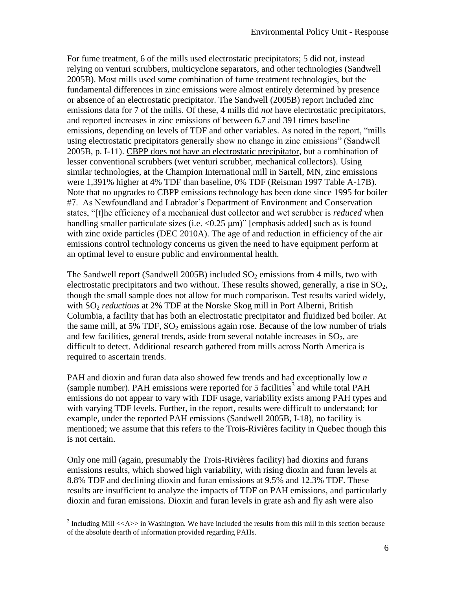For fume treatment, 6 of the mills used electrostatic precipitators; 5 did not, instead relying on venturi scrubbers, multicyclone separators, and other technologies (Sandwell 2005B). Most mills used some combination of fume treatment technologies, but the fundamental differences in zinc emissions were almost entirely determined by presence or absence of an electrostatic precipitator. The Sandwell (2005B) report included zinc emissions data for 7 of the mills. Of these, 4 mills did *not* have electrostatic precipitators, and reported increases in zinc emissions of between 6.7 and 391 times baseline emissions, depending on levels of TDF and other variables. As noted in the report, "mills" using electrostatic precipitators generally show no change in zinc emissions" (Sandwell 2005B, p. I-11). CBPP does not have an electrostatic precipitator, but a combination of lesser conventional scrubbers (wet venturi scrubber, mechanical collectors). Using similar technologies, at the Champion International mill in Sartell, MN, zinc emissions were 1,391% higher at 4% TDF than baseline, 0% TDF (Reisman 1997 Table A-17B). Note that no upgrades to CBPP emissions technology has been done since 1995 for boiler #7. As Newfoundland and Labrador's Department of Environment and Conservation states, "[t]he efficiency of a mechanical dust collector and wet scrubber is *reduced* when handling smaller particulate sizes (i.e.  $\langle 0.25 \text{ \mu m} \rangle$ " [emphasis added] such as is found with zinc oxide particles (DEC 2010A). The age of and reduction in efficiency of the air emissions control technology concerns us given the need to have equipment perform at an optimal level to ensure public and environmental health.

The Sandwell report (Sandwell 2005B) included  $SO_2$  emissions from 4 mills, two with electrostatic precipitators and two without. These results showed, generally, a rise in  $SO<sub>2</sub>$ , though the small sample does not allow for much comparison. Test results varied widely, with SO<sub>2</sub> *reductions* at 2% TDF at the Norske Skog mill in Port Alberni, British Columbia, a facility that has both an electrostatic precipitator and fluidized bed boiler. At the same mill, at 5% TDF,  $SO_2$  emissions again rose. Because of the low number of trials and few facilities, general trends, aside from several notable increases in  $SO<sub>2</sub>$ , are difficult to detect. Additional research gathered from mills across North America is required to ascertain trends.

PAH and dioxin and furan data also showed few trends and had exceptionally low *n*   $(sample number)$ . PAH emissions were reported for 5 facilities<sup>3</sup> and while total PAH emissions do not appear to vary with TDF usage, variability exists among PAH types and with varying TDF levels. Further, in the report, results were difficult to understand; for example, under the reported PAH emissions (Sandwell 2005B, I-18), no facility is mentioned; we assume that this refers to the Trois-Rivières facility in Quebec though this is not certain.

Only one mill (again, presumably the Trois-Rivières facility) had dioxins and furans emissions results, which showed high variability, with rising dioxin and furan levels at 8.8% TDF and declining dioxin and furan emissions at 9.5% and 12.3% TDF. These results are insufficient to analyze the impacts of TDF on PAH emissions, and particularly dioxin and furan emissions. Dioxin and furan levels in grate ash and fly ash were also

<sup>&</sup>lt;sup>3</sup> Including Mill <<A>> in Washington. We have included the results from this mill in this section because of the absolute dearth of information provided regarding PAHs.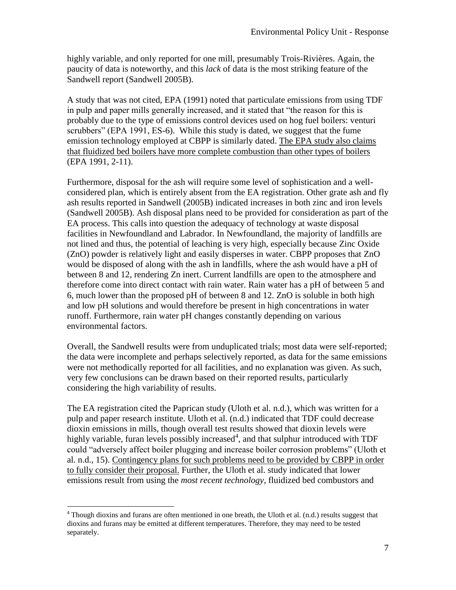highly variable, and only reported for one mill, presumably Trois-Rivières. Again, the paucity of data is noteworthy, and this *lack* of data is the most striking feature of the Sandwell report (Sandwell 2005B).

A study that was not cited, EPA (1991) noted that particulate emissions from using TDF in pulp and paper mills generally increased, and it stated that "the reason for this is probably due to the type of emissions control devices used on hog fuel boilers: venturi scrubbers" (EPA 1991, ES-6). While this study is dated, we suggest that the fume emission technology employed at CBPP is similarly dated. The EPA study also claims that fluidized bed boilers have more complete combustion than other types of boilers (EPA 1991, 2-11).

Furthermore, disposal for the ash will require some level of sophistication and a wellconsidered plan, which is entirely absent from the EA registration. Other grate ash and fly ash results reported in Sandwell (2005B) indicated increases in both zinc and iron levels (Sandwell 2005B). Ash disposal plans need to be provided for consideration as part of the EA process. This calls into question the adequacy of technology at waste disposal facilities in Newfoundland and Labrador. In Newfoundland, the majority of landfills are not lined and thus, the potential of leaching is very high, especially because Zinc Oxide (ZnO) powder is relatively light and easily disperses in water. CBPP proposes that ZnO would be disposed of along with the ash in landfills, where the ash would have a pH of between 8 and 12, rendering Zn inert. Current landfills are open to the atmosphere and therefore come into direct contact with rain water. Rain water has a pH of between 5 and 6, much lower than the proposed pH of between 8 and 12. ZnO is soluble in both high and low pH solutions and would therefore be present in high concentrations in water runoff. Furthermore, rain water pH changes constantly depending on various environmental factors.

Overall, the Sandwell results were from unduplicated trials; most data were self-reported; the data were incomplete and perhaps selectively reported, as data for the same emissions were not methodically reported for all facilities, and no explanation was given. As such, very few conclusions can be drawn based on their reported results, particularly considering the high variability of results.

The EA registration cited the Paprican study (Uloth et al. n.d.), which was written for a pulp and paper research institute. Uloth et al. (n.d.) indicated that TDF could decrease dioxin emissions in mills, though overall test results showed that dioxin levels were highly variable, furan levels possibly increased<sup>4</sup>, and that sulphur introduced with TDF could "adversely affect boiler plugging and increase boiler corrosion problems" (Uloth et al. n.d., 15). Contingency plans for such problems need to be provided by CBPP in order to fully consider their proposal. Further, the Uloth et al. study indicated that lower emissions result from using the *most recent technology*, fluidized bed combustors and

 $\overline{a}$ 

<sup>&</sup>lt;sup>4</sup> Though dioxins and furans are often mentioned in one breath, the Uloth et al. (n.d.) results suggest that dioxins and furans may be emitted at different temperatures. Therefore, they may need to be tested separately.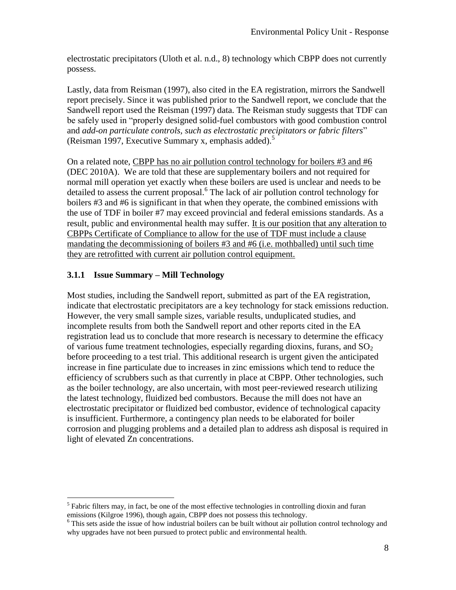electrostatic precipitators (Uloth et al. n.d., 8) technology which CBPP does not currently possess.

Lastly, data from Reisman (1997), also cited in the EA registration, mirrors the Sandwell report precisely. Since it was published prior to the Sandwell report, we conclude that the Sandwell report used the Reisman (1997) data. The Reisman study suggests that TDF can be safely used in "properly designed solid-fuel combustors with good combustion control and *add-on particulate controls, such as electrostatic precipitators or fabric filters*" (Reisman 1997, Executive Summary x, emphasis added).<sup>5</sup>

On a related note, CBPP has no air pollution control technology for boilers #3 and #6 (DEC 2010A). We are told that these are supplementary boilers and not required for normal mill operation yet exactly when these boilers are used is unclear and needs to be detailed to assess the current proposal.<sup>6</sup> The lack of air pollution control technology for boilers #3 and #6 is significant in that when they operate, the combined emissions with the use of TDF in boiler #7 may exceed provincial and federal emissions standards. As a result, public and environmental health may suffer. It is our position that any alteration to CBPPs Certificate of Compliance to allow for the use of TDF must include a clause mandating the decommissioning of boilers #3 and #6 (i.e. mothballed) until such time they are retrofitted with current air pollution control equipment.

## **3.1.1 Issue Summary – Mill Technology**

 $\overline{a}$ 

Most studies, including the Sandwell report, submitted as part of the EA registration, indicate that electrostatic precipitators are a key technology for stack emissions reduction. However, the very small sample sizes, variable results, unduplicated studies, and incomplete results from both the Sandwell report and other reports cited in the EA registration lead us to conclude that more research is necessary to determine the efficacy of various fume treatment technologies, especially regarding dioxins, furans, and  $SO<sub>2</sub>$ before proceeding to a test trial. This additional research is urgent given the anticipated increase in fine particulate due to increases in zinc emissions which tend to reduce the efficiency of scrubbers such as that currently in place at CBPP. Other technologies, such as the boiler technology, are also uncertain, with most peer-reviewed research utilizing the latest technology, fluidized bed combustors. Because the mill does not have an electrostatic precipitator or fluidized bed combustor, evidence of technological capacity is insufficient. Furthermore, a contingency plan needs to be elaborated for boiler corrosion and plugging problems and a detailed plan to address ash disposal is required in light of elevated Zn concentrations.

 $<sup>5</sup>$  Fabric filters may, in fact, be one of the most effective technologies in controlling dioxin and furan</sup> emissions (Kilgroe 1996), though again, CBPP does not possess this technology.

<sup>&</sup>lt;sup>6</sup> This sets aside the issue of how industrial boilers can be built without air pollution control technology and why upgrades have not been pursued to protect public and environmental health.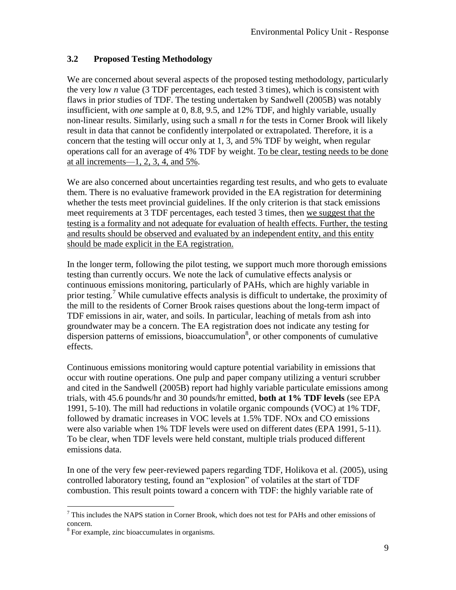## **3.2 Proposed Testing Methodology**

We are concerned about several aspects of the proposed testing methodology, particularly the very low *n* value (3 TDF percentages, each tested 3 times), which is consistent with flaws in prior studies of TDF. The testing undertaken by Sandwell (2005B) was notably insufficient, with *one* sample at 0, 8.8, 9.5, and 12% TDF, and highly variable, usually non-linear results. Similarly, using such a small *n* for the tests in Corner Brook will likely result in data that cannot be confidently interpolated or extrapolated. Therefore, it is a concern that the testing will occur only at 1, 3, and 5% TDF by weight, when regular operations call for an average of 4% TDF by weight. To be clear, testing needs to be done at all increments—1, 2, 3, 4, and  $5\%$ .

We are also concerned about uncertainties regarding test results, and who gets to evaluate them. There is no evaluative framework provided in the EA registration for determining whether the tests meet provincial guidelines. If the only criterion is that stack emissions meet requirements at 3 TDF percentages, each tested 3 times, then we suggest that the testing is a formality and not adequate for evaluation of health effects. Further, the testing and results should be observed and evaluated by an independent entity, and this entity should be made explicit in the EA registration.

In the longer term, following the pilot testing, we support much more thorough emissions testing than currently occurs. We note the lack of cumulative effects analysis or continuous emissions monitoring, particularly of PAHs, which are highly variable in prior testing.<sup>7</sup> While cumulative effects analysis is difficult to undertake, the proximity of the mill to the residents of Corner Brook raises questions about the long-term impact of TDF emissions in air, water, and soils. In particular, leaching of metals from ash into groundwater may be a concern. The EA registration does not indicate any testing for dispersion patterns of emissions, bioaccumulation<sup>8</sup>, or other components of cumulative effects.

Continuous emissions monitoring would capture potential variability in emissions that occur with routine operations. One pulp and paper company utilizing a venturi scrubber and cited in the Sandwell (2005B) report had highly variable particulate emissions among trials, with 45.6 pounds/hr and 30 pounds/hr emitted, **both at 1% TDF levels** (see EPA 1991, 5-10). The mill had reductions in volatile organic compounds (VOC) at 1% TDF, followed by dramatic increases in VOC levels at 1.5% TDF. NOx and CO emissions were also variable when 1% TDF levels were used on different dates (EPA 1991, 5-11). To be clear, when TDF levels were held constant, multiple trials produced different emissions data.

In one of the very few peer-reviewed papers regarding TDF, Holikova et al. (2005), using controlled laboratory testing, found an "explosion" of volatiles at the start of TDF combustion. This result points toward a concern with TDF: the highly variable rate of

 $\overline{a}$ <sup>7</sup> This includes the NAPS station in Corner Brook, which does not test for PAHs and other emissions of concern.

<sup>&</sup>lt;sup>8</sup> For example, zinc bioaccumulates in organisms.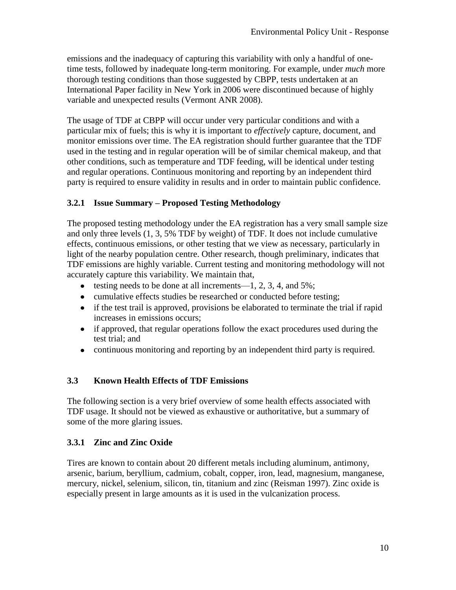emissions and the inadequacy of capturing this variability with only a handful of onetime tests, followed by inadequate long-term monitoring. For example, under *much* more thorough testing conditions than those suggested by CBPP, tests undertaken at an International Paper facility in New York in 2006 were discontinued because of highly variable and unexpected results (Vermont ANR 2008).

The usage of TDF at CBPP will occur under very particular conditions and with a particular mix of fuels; this is why it is important to *effectively* capture, document, and monitor emissions over time. The EA registration should further guarantee that the TDF used in the testing and in regular operation will be of similar chemical makeup, and that other conditions, such as temperature and TDF feeding, will be identical under testing and regular operations. Continuous monitoring and reporting by an independent third party is required to ensure validity in results and in order to maintain public confidence.

## **3.2.1 Issue Summary – Proposed Testing Methodology**

The proposed testing methodology under the EA registration has a very small sample size and only three levels (1, 3, 5% TDF by weight) of TDF. It does not include cumulative effects, continuous emissions, or other testing that we view as necessary, particularly in light of the nearby population centre. Other research, though preliminary, indicates that TDF emissions are highly variable. Current testing and monitoring methodology will not accurately capture this variability. We maintain that,

- testing needs to be done at all increments—1, 2, 3, 4, and 5%;
- cumulative effects studies be researched or conducted before testing;
- if the test trail is approved, provisions be elaborated to terminate the trial if rapid increases in emissions occurs;
- if approved, that regular operations follow the exact procedures used during the test trial; and
- continuous monitoring and reporting by an independent third party is required.

#### **3.3 Known Health Effects of TDF Emissions**

The following section is a very brief overview of some health effects associated with TDF usage. It should not be viewed as exhaustive or authoritative, but a summary of some of the more glaring issues.

#### **3.3.1 Zinc and Zinc Oxide**

Tires are known to contain about 20 different metals including aluminum, antimony, arsenic, barium, beryllium, cadmium, cobalt, copper, iron, lead, magnesium, manganese, mercury, nickel, selenium, silicon, tin, titanium and zinc (Reisman 1997). Zinc oxide is especially present in large amounts as it is used in the vulcanization process.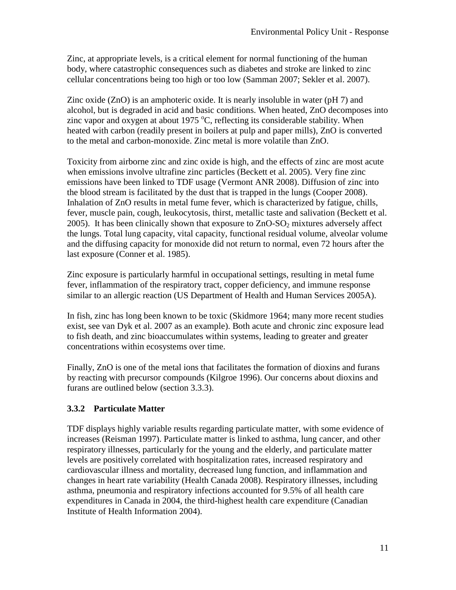Zinc, at appropriate levels, is a critical element for normal functioning of the human body, where catastrophic consequences such as diabetes and stroke are linked to zinc cellular concentrations being too high or too low (Samman 2007; Sekler et al. 2007).

Zinc oxide (ZnO) is an amphoteric oxide. It is nearly insoluble in water (pH 7) and alcohol, but is degraded in acid and basic conditions. When heated, ZnO decomposes into zinc vapor and oxygen at about 1975  $\degree$ C, reflecting its considerable stability. When heated with carbon (readily present in boilers at pulp and paper mills), ZnO is converted to the metal and carbon-monoxide. Zinc metal is more volatile than ZnO.

Toxicity from airborne zinc and zinc oxide is high, and the effects of zinc are most acute when emissions involve ultrafine zinc particles (Beckett et al. 2005). Very fine zinc emissions have been linked to TDF usage (Vermont ANR 2008). Diffusion of zinc into the blood stream is facilitated by the dust that is trapped in the lungs (Cooper 2008). Inhalation of ZnO results in metal fume fever, which is characterized by fatigue, chills, fever, muscle pain, cough, leukocytosis, thirst, metallic taste and salivation (Beckett et al. 2005). It has been clinically shown that exposure to  $ZnO-SO<sub>2</sub>$  mixtures adversely affect the lungs. Total lung capacity, vital capacity, functional residual volume, alveolar volume and the diffusing capacity for monoxide did not return to normal, even 72 hours after the last exposure (Conner et al. 1985).

Zinc exposure is particularly harmful in occupational settings, resulting in metal fume fever, inflammation of the respiratory tract, copper deficiency, and immune response similar to an allergic reaction (US Department of Health and Human Services 2005A).

In fish, zinc has long been known to be toxic (Skidmore 1964; many more recent studies exist, see van Dyk et al. 2007 as an example). Both acute and chronic zinc exposure lead to fish death, and zinc bioaccumulates within systems, leading to greater and greater concentrations within ecosystems over time.

Finally, ZnO is one of the metal ions that facilitates the formation of dioxins and furans by reacting with precursor compounds (Kilgroe 1996). Our concerns about dioxins and furans are outlined below (section 3.3.3).

## **3.3.2 Particulate Matter**

TDF displays highly variable results regarding particulate matter, with some evidence of increases (Reisman 1997). Particulate matter is linked to asthma, lung cancer, and other respiratory illnesses, particularly for the young and the elderly, and particulate matter levels are positively correlated with hospitalization rates, increased respiratory and cardiovascular illness and mortality, decreased lung function, and inflammation and changes in heart rate variability (Health Canada 2008). Respiratory illnesses, including asthma, pneumonia and respiratory infections accounted for 9.5% of all health care expenditures in Canada in 2004, the third-highest health care expenditure (Canadian Institute of Health Information 2004).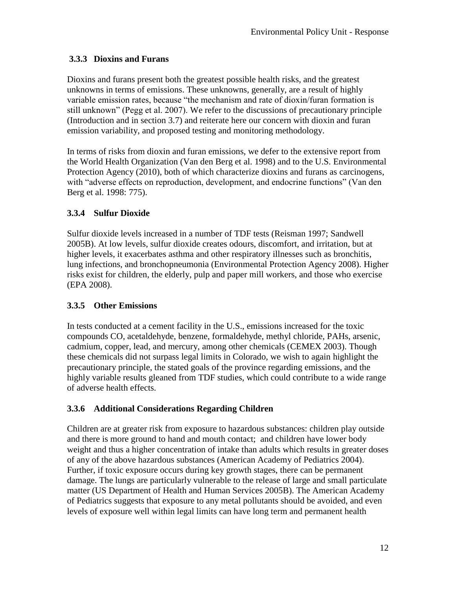## **3.3.3 Dioxins and Furans**

Dioxins and furans present both the greatest possible health risks, and the greatest unknowns in terms of emissions. These unknowns, generally, are a result of highly variable emission rates, because "the mechanism and rate of dioxin/furan formation is still unknown" (Pegg et al. 2007). We refer to the discussions of precautionary principle (Introduction and in section 3.7) and reiterate here our concern with dioxin and furan emission variability, and proposed testing and monitoring methodology.

In terms of risks from dioxin and furan emissions, we defer to the extensive report from the World Health Organization (Van den Berg et al. 1998) and to the U.S. Environmental Protection Agency (2010), both of which characterize dioxins and furans as carcinogens, with "adverse effects on reproduction, development, and endocrine functions" (Van den Berg et al. 1998: 775).

# **3.3.4 Sulfur Dioxide**

Sulfur dioxide levels increased in a number of TDF tests (Reisman 1997; Sandwell 2005B). At low levels, sulfur dioxide creates odours, discomfort, and irritation, but at higher levels, it exacerbates asthma and other respiratory illnesses such as bronchitis, lung infections, and bronchopneumonia (Environmental Protection Agency 2008). Higher risks exist for children, the elderly, pulp and paper mill workers, and those who exercise (EPA 2008).

## **3.3.5 Other Emissions**

In tests conducted at a cement facility in the U.S., emissions increased for the toxic compounds CO, acetaldehyde, benzene, formaldehyde, methyl chloride, PAHs, arsenic, cadmium, copper, lead, and mercury, among other chemicals (CEMEX 2003). Though these chemicals did not surpass legal limits in Colorado, we wish to again highlight the precautionary principle, the stated goals of the province regarding emissions, and the highly variable results gleaned from TDF studies, which could contribute to a wide range of adverse health effects.

# **3.3.6 Additional Considerations Regarding Children**

Children are at greater risk from exposure to hazardous substances: children play outside and there is more ground to hand and mouth contact; and children have lower body weight and thus a higher concentration of intake than adults which results in greater doses of any of the above hazardous substances (American Academy of Pediatrics 2004). Further, if toxic exposure occurs during key growth stages, there can be permanent damage. The lungs are particularly vulnerable to the release of large and small particulate matter (US Department of Health and Human Services 2005B). The American Academy of Pediatrics suggests that exposure to any metal pollutants should be avoided, and even levels of exposure well within legal limits can have long term and permanent health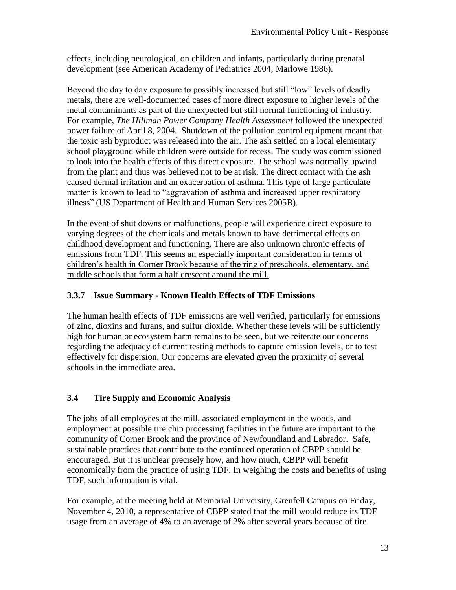effects, including neurological, on children and infants, particularly during prenatal development (see American Academy of Pediatrics 2004; Marlowe 1986).

Beyond the day to day exposure to possibly increased but still "low" levels of deadly metals, there are well-documented cases of more direct exposure to higher levels of the metal contaminants as part of the unexpected but still normal functioning of industry. For example, *The Hillman Power Company Health Assessment* followed the unexpected power failure of April 8, 2004. Shutdown of the pollution control equipment meant that the toxic ash byproduct was released into the air. The ash settled on a local elementary school playground while children were outside for recess. The study was commissioned to look into the health effects of this direct exposure. The school was normally upwind from the plant and thus was believed not to be at risk. The direct contact with the ash caused dermal irritation and an exacerbation of asthma. This type of large particulate matter is known to lead to "aggravation of asthma and increased upper respiratory illness" (US Department of Health and Human Services 2005B).

In the event of shut downs or malfunctions, people will experience direct exposure to varying degrees of the chemicals and metals known to have detrimental effects on childhood development and functioning. There are also unknown chronic effects of emissions from TDF. This seems an especially important consideration in terms of children's health in Corner Brook because of the ring of preschools, elementary, and middle schools that form a half crescent around the mill.

### **3.3.7 Issue Summary - Known Health Effects of TDF Emissions**

The human health effects of TDF emissions are well verified, particularly for emissions of zinc, dioxins and furans, and sulfur dioxide. Whether these levels will be sufficiently high for human or ecosystem harm remains to be seen, but we reiterate our concerns regarding the adequacy of current testing methods to capture emission levels, or to test effectively for dispersion. Our concerns are elevated given the proximity of several schools in the immediate area.

#### **3.4 Tire Supply and Economic Analysis**

The jobs of all employees at the mill, associated employment in the woods, and employment at possible tire chip processing facilities in the future are important to the community of Corner Brook and the province of Newfoundland and Labrador. Safe, sustainable practices that contribute to the continued operation of CBPP should be encouraged. But it is unclear precisely how, and how much, CBPP will benefit economically from the practice of using TDF. In weighing the costs and benefits of using TDF, such information is vital.

For example, at the meeting held at Memorial University, Grenfell Campus on Friday, November 4, 2010, a representative of CBPP stated that the mill would reduce its TDF usage from an average of 4% to an average of 2% after several years because of tire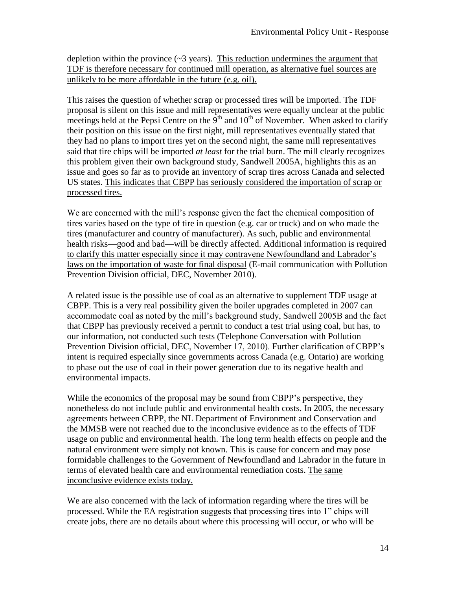depletion within the province  $(\sim 3 \text{ years})$ . This reduction undermines the argument that TDF is therefore necessary for continued mill operation, as alternative fuel sources are unlikely to be more affordable in the future (e.g. oil).

This raises the question of whether scrap or processed tires will be imported. The TDF proposal is silent on this issue and mill representatives were equally unclear at the public meetings held at the Pepsi Centre on the  $9<sup>th</sup>$  and  $10<sup>th</sup>$  of November. When asked to clarify their position on this issue on the first night, mill representatives eventually stated that they had no plans to import tires yet on the second night, the same mill representatives said that tire chips will be imported *at least* for the trial burn. The mill clearly recognizes this problem given their own background study, Sandwell 2005A, highlights this as an issue and goes so far as to provide an inventory of scrap tires across Canada and selected US states. This indicates that CBPP has seriously considered the importation of scrap or processed tires.

We are concerned with the mill's response given the fact the chemical composition of tires varies based on the type of tire in question (e.g. car or truck) and on who made the tires (manufacturer and country of manufacturer). As such, public and environmental health risks—good and bad—will be directly affected. Additional information is required to clarify this matter especially since it may contravene Newfoundland and Labrador's laws on the importation of waste for final disposal (E-mail communication with Pollution Prevention Division official, DEC, November 2010).

A related issue is the possible use of coal as an alternative to supplement TDF usage at CBPP. This is a very real possibility given the boiler upgrades completed in 2007 can accommodate coal as noted by the mill's background study, Sandwell 2005B and the fact that CBPP has previously received a permit to conduct a test trial using coal, but has, to our information, not conducted such tests (Telephone Conversation with Pollution Prevention Division official, DEC, November 17, 2010). Further clarification of CBPP's intent is required especially since governments across Canada (e.g. Ontario) are working to phase out the use of coal in their power generation due to its negative health and environmental impacts.

While the economics of the proposal may be sound from CBPP's perspective, they nonetheless do not include public and environmental health costs. In 2005, the necessary agreements between CBPP, the NL Department of Environment and Conservation and the MMSB were not reached due to the inconclusive evidence as to the effects of TDF usage on public and environmental health. The long term health effects on people and the natural environment were simply not known. This is cause for concern and may pose formidable challenges to the Government of Newfoundland and Labrador in the future in terms of elevated health care and environmental remediation costs. The same inconclusive evidence exists today.

We are also concerned with the lack of information regarding where the tires will be processed. While the EA registration suggests that processing tires into 1" chips will create jobs, there are no details about where this processing will occur, or who will be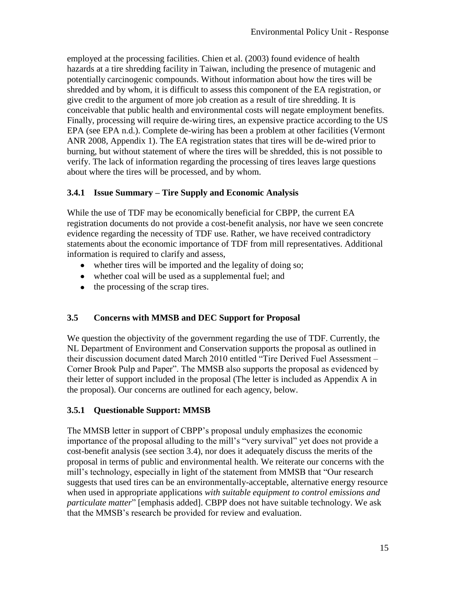employed at the processing facilities. Chien et al. (2003) found evidence of health hazards at a tire shredding facility in Taiwan, including the presence of mutagenic and potentially carcinogenic compounds. Without information about how the tires will be shredded and by whom, it is difficult to assess this component of the EA registration, or give credit to the argument of more job creation as a result of tire shredding. It is conceivable that public health and environmental costs will negate employment benefits. Finally, processing will require de-wiring tires, an expensive practice according to the US EPA (see EPA n.d.). Complete de-wiring has been a problem at other facilities (Vermont ANR 2008, Appendix 1). The EA registration states that tires will be de-wired prior to burning, but without statement of where the tires will be shredded, this is not possible to verify. The lack of information regarding the processing of tires leaves large questions about where the tires will be processed, and by whom.

## **3.4.1 Issue Summary – Tire Supply and Economic Analysis**

While the use of TDF may be economically beneficial for CBPP, the current EA registration documents do not provide a cost-benefit analysis, nor have we seen concrete evidence regarding the necessity of TDF use. Rather, we have received contradictory statements about the economic importance of TDF from mill representatives. Additional information is required to clarify and assess,

- whether tires will be imported and the legality of doing so;
- whether coal will be used as a supplemental fuel; and
- $\bullet$  the processing of the scrap tires.

# **3.5 Concerns with MMSB and DEC Support for Proposal**

We question the objectivity of the government regarding the use of TDF. Currently, the NL Department of Environment and Conservation supports the proposal as outlined in their discussion document dated March 2010 entitled "Tire Derived Fuel Assessment -Corner Brook Pulp and Paper". The MMSB also supports the proposal as evidenced by their letter of support included in the proposal (The letter is included as Appendix A in the proposal). Our concerns are outlined for each agency, below.

# **3.5.1 Questionable Support: MMSB**

The MMSB letter in support of CBPP's proposal unduly emphasizes the economic importance of the proposal alluding to the mill's "very survival" yet does not provide a cost-benefit analysis (see section 3.4), nor does it adequately discuss the merits of the proposal in terms of public and environmental health. We reiterate our concerns with the mill's technology, especially in light of the statement from MMSB that "Our research" suggests that used tires can be an environmentally-acceptable, alternative energy resource when used in appropriate applications *with suitable equipment to control emissions and particulate matter*" [emphasis added]. CBPP does not have suitable technology. We ask that the MMSB's research be provided for review and evaluation.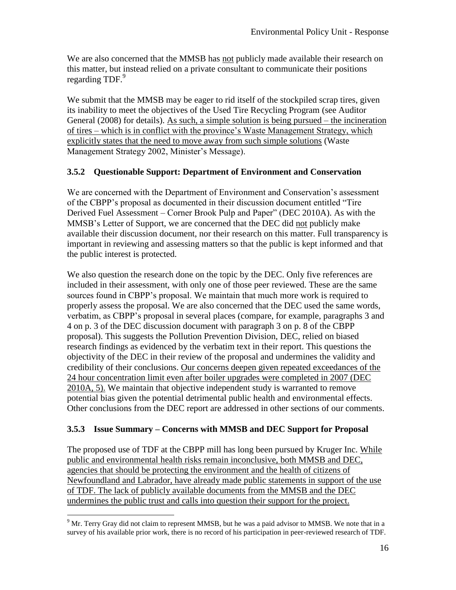We are also concerned that the MMSB has not publicly made available their research on this matter, but instead relied on a private consultant to communicate their positions regarding TDF.<sup>9</sup>

We submit that the MMSB may be eager to rid itself of the stockpiled scrap tires, given its inability to meet the objectives of the Used Tire Recycling Program (see Auditor General (2008) for details). As such, a simple solution is being pursued – the incineration of tires – which is in conflict with the province's Waste Management Strategy, which explicitly states that the need to move away from such simple solutions (Waste Management Strategy 2002, Minister's Message).

#### **3.5.2 Questionable Support: Department of Environment and Conservation**

We are concerned with the Department of Environment and Conservation's assessment of the CBPP's proposal as documented in their discussion document entitled "Tire" Derived Fuel Assessment – Corner Brook Pulp and Paper" (DEC 2010A). As with the MMSB's Letter of Support, we are concerned that the DEC did not publicly make available their discussion document, nor their research on this matter. Full transparency is important in reviewing and assessing matters so that the public is kept informed and that the public interest is protected.

We also question the research done on the topic by the DEC. Only five references are included in their assessment, with only one of those peer reviewed. These are the same sources found in CBPP's proposal. We maintain that much more work is required to properly assess the proposal. We are also concerned that the DEC used the same words, verbatim, as CBPP's proposal in several places (compare, for example, paragraphs 3 and 4 on p. 3 of the DEC discussion document with paragraph 3 on p. 8 of the CBPP proposal). This suggests the Pollution Prevention Division, DEC, relied on biased research findings as evidenced by the verbatim text in their report. This questions the objectivity of the DEC in their review of the proposal and undermines the validity and credibility of their conclusions. Our concerns deepen given repeated exceedances of the 24 hour concentration limit even after boiler upgrades were completed in 2007 (DEC 2010A, 5). We maintain that objective independent study is warranted to remove potential bias given the potential detrimental public health and environmental effects. Other conclusions from the DEC report are addressed in other sections of our comments.

#### **3.5.3 Issue Summary – Concerns with MMSB and DEC Support for Proposal**

The proposed use of TDF at the CBPP mill has long been pursued by Kruger Inc. While public and environmental health risks remain inconclusive, both MMSB and DEC, agencies that should be protecting the environment and the health of citizens of Newfoundland and Labrador, have already made public statements in support of the use of TDF. The lack of publicly available documents from the MMSB and the DEC undermines the public trust and calls into question their support for the project.

 $\overline{a}$ 

<sup>&</sup>lt;sup>9</sup> Mr. Terry Gray did not claim to represent MMSB, but he was a paid advisor to MMSB. We note that in a survey of his available prior work, there is no record of his participation in peer-reviewed research of TDF.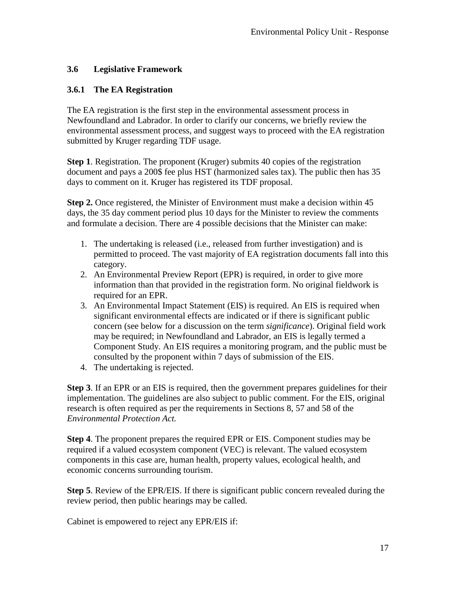## **3.6 Legislative Framework**

### **3.6.1 The EA Registration**

The EA registration is the first step in the environmental assessment process in Newfoundland and Labrador. In order to clarify our concerns, we briefly review the environmental assessment process, and suggest ways to proceed with the EA registration submitted by Kruger regarding TDF usage.

**Step 1**. Registration. The proponent (Kruger) submits 40 copies of the registration document and pays a 200\$ fee plus HST (harmonized sales tax). The public then has 35 days to comment on it. Kruger has registered its TDF proposal.

**Step 2.** Once registered, the Minister of Environment must make a decision within 45 days, the 35 day comment period plus 10 days for the Minister to review the comments and formulate a decision. There are 4 possible decisions that the Minister can make:

- 1. The undertaking is released (i.e., released from further investigation) and is permitted to proceed. The vast majority of EA registration documents fall into this category.
- 2. An Environmental Preview Report (EPR) is required, in order to give more information than that provided in the registration form. No original fieldwork is required for an EPR.
- 3. An Environmental Impact Statement (EIS) is required. An EIS is required when significant environmental effects are indicated or if there is significant public concern (see below for a discussion on the term *significance*). Original field work may be required; in Newfoundland and Labrador, an EIS is legally termed a Component Study. An EIS requires a monitoring program, and the public must be consulted by the proponent within 7 days of submission of the EIS.
- 4. The undertaking is rejected.

**Step 3**. If an EPR or an EIS is required, then the government prepares guidelines for their implementation. The guidelines are also subject to public comment. For the EIS, original research is often required as per the requirements in Sections 8, 57 and 58 of the *Environmental Protection Act.*

**Step 4**. The proponent prepares the required EPR or EIS. Component studies may be required if a valued ecosystem component (VEC) is relevant. The valued ecosystem components in this case are, human health, property values, ecological health, and economic concerns surrounding tourism.

**Step 5**. Review of the EPR/EIS. If there is significant public concern revealed during the review period, then public hearings may be called.

Cabinet is empowered to reject any EPR/EIS if: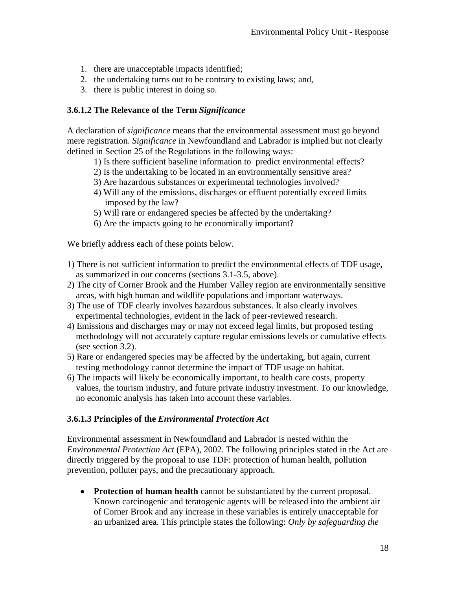- 1. there are unacceptable impacts identified;
- 2. the undertaking turns out to be contrary to existing laws; and,
- 3. there is public interest in doing so.

#### **3.6.1.2 The Relevance of the Term** *Significance*

A declaration of *significance* means that the environmental assessment must go beyond mere registration. *Significance* in Newfoundland and Labrador is implied but not clearly defined in Section 25 of the Regulations in the following ways:

- 1) Is there sufficient baseline information to predict environmental effects?
- 2) Is the undertaking to be located in an environmentally sensitive area?
- 3) Are hazardous substances or experimental technologies involved?
- 4) Will any of the emissions, discharges or effluent potentially exceed limits imposed by the law?
- 5) Will rare or endangered species be affected by the undertaking?
- 6) Are the impacts going to be economically important?

We briefly address each of these points below.

- 1) There is not sufficient information to predict the environmental effects of TDF usage, as summarized in our concerns (sections 3.1-3.5, above).
- 2) The city of Corner Brook and the Humber Valley region are environmentally sensitive areas, with high human and wildlife populations and important waterways.
- 3) The use of TDF clearly involves hazardous substances. It also clearly involves experimental technologies, evident in the lack of peer-reviewed research.
- 4) Emissions and discharges may or may not exceed legal limits, but proposed testing methodology will not accurately capture regular emissions levels or cumulative effects (see section 3.2).
- 5) Rare or endangered species may be affected by the undertaking, but again, current testing methodology cannot determine the impact of TDF usage on habitat.
- 6) The impacts will likely be economically important, to health care costs, property values, the tourism industry, and future private industry investment. To our knowledge, no economic analysis has taken into account these variables.

#### **3.6.1.3 Principles of the** *Environmental Protection Act*

Environmental assessment in Newfoundland and Labrador is nested within the *Environmental Protection Act* (EPA), 2002. The following principles stated in the Act are directly triggered by the proposal to use TDF: protection of human health, pollution prevention, polluter pays, and the precautionary approach.

**• Protection of human health** cannot be substantiated by the current proposal. Known carcinogenic and teratogenic agents will be released into the ambient air of Corner Brook and any increase in these variables is entirely unacceptable for an urbanized area. This principle states the following: *Only by safeguarding the*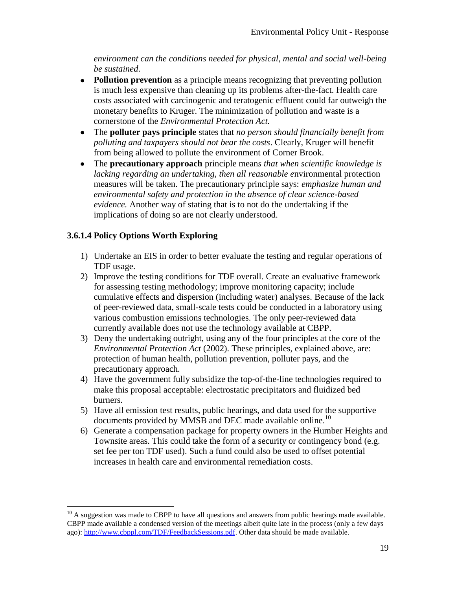*environment can the conditions needed for physical, mental and social well-being be sustained*.

- **Pollution prevention** as a principle means recognizing that preventing pollution is much less expensive than cleaning up its problems after-the-fact. Health care costs associated with carcinogenic and teratogenic effluent could far outweigh the monetary benefits to Kruger. The minimization of pollution and waste is a cornerstone of the *Environmental Protection Act.*
- The **polluter pays principle** states that *no person should financially benefit from*   $\bullet$ *polluting and taxpayers should not bear the costs*. Clearly, Kruger will benefit from being allowed to pollute the environment of Corner Brook.
- The **precautionary approach** principle mean*s that when scientific knowledge is*   $\bullet$ *lacking regarding an undertaking, then all reasonable e*nvironmental protection measures will be taken. The precautionary principle says: *emphasize human and environmental safety and protection in the absence of clear science-based evidence.* Another way of stating that is to not do the undertaking if the implications of doing so are not clearly understood.

## **3.6.1.4 Policy Options Worth Exploring**

 $\overline{a}$ 

- 1) Undertake an EIS in order to better evaluate the testing and regular operations of TDF usage.
- 2) Improve the testing conditions for TDF overall. Create an evaluative framework for assessing testing methodology; improve monitoring capacity; include cumulative effects and dispersion (including water) analyses. Because of the lack of peer-reviewed data, small-scale tests could be conducted in a laboratory using various combustion emissions technologies. The only peer-reviewed data currently available does not use the technology available at CBPP.
- 3) Deny the undertaking outright, using any of the four principles at the core of the *Environmental Protection Act* (2002). These principles, explained above, are: protection of human health, pollution prevention, polluter pays, and the precautionary approach.
- 4) Have the government fully subsidize the top-of-the-line technologies required to make this proposal acceptable: electrostatic precipitators and fluidized bed burners.
- 5) Have all emission test results, public hearings, and data used for the supportive documents provided by MMSB and DEC made available online.<sup>10</sup>
- 6) Generate a compensation package for property owners in the Humber Heights and Townsite areas. This could take the form of a security or contingency bond (e.g. set fee per ton TDF used). Such a fund could also be used to offset potential increases in health care and environmental remediation costs.

 $10$  A suggestion was made to CBPP to have all questions and answers from public hearings made available. CBPP made available a condensed version of the meetings albeit quite late in the process (only a few days ago): [http://www.cbppl.com/TDF/FeedbackSessions.pdf.](http://www.cbppl.com/TDF/FeedbackSessions.pdf) Other data should be made available.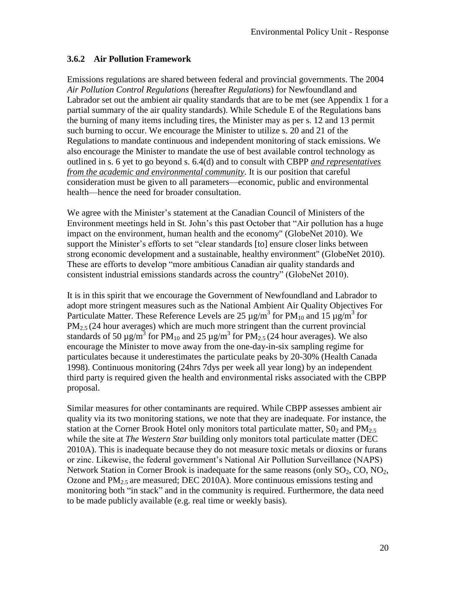### **3.6.2 Air Pollution Framework**

Emissions regulations are shared between federal and provincial governments. The 2004 *Air Pollution Control Regulations* (hereafter *Regulations*) for Newfoundland and Labrador set out the ambient air quality standards that are to be met (see Appendix 1 for a partial summary of the air quality standards). While Schedule E of the Regulations bans the burning of many items including tires, the Minister may as per s. 12 and 13 permit such burning to occur. We encourage the Minister to utilize s. 20 and 21 of the Regulations to mandate continuous and independent monitoring of stack emissions. We also encourage the Minister to mandate the use of best available control technology as outlined in s. 6 yet to go beyond s. 6.4(d) and to consult with CBPP *and representatives from the academic and environmental community*. It is our position that careful consideration must be given to all parameters—economic, public and environmental health—hence the need for broader consultation.

We agree with the Minister's statement at the Canadian Council of Ministers of the Environment meetings held in St. John's this past October that "Air pollution has a huge impact on the environment, human health and the economy" (GlobeNet 2010). We support the Minister's efforts to set "clear standards [to] ensure closer links between strong economic development and a sustainable, healthy environment" (GlobeNet 2010). These are efforts to develop "more ambitious Canadian air quality standards and consistent industrial emissions standards across the country" (GlobeNet 2010).

It is in this spirit that we encourage the Government of Newfoundland and Labrador to adopt more stringent measures such as the National Ambient Air Quality Objectives For Particulate Matter. These Reference Levels are 25  $\mu$ g/m<sup>3</sup> for PM<sub>10</sub> and 15  $\mu$ g/m<sup>3</sup> for  $PM_{2.5}$  (24 hour averages) which are much more stringent than the current provincial standards of 50  $\mu$ g/m<sup>3</sup> for PM<sub>10</sub> and 25  $\mu$ g/m<sup>3</sup> for PM<sub>2.5</sub> (24 hour averages). We also encourage the Minister to move away from the one-day-in-six sampling regime for particulates because it underestimates the particulate peaks by 20-30% (Health Canada 1998). Continuous monitoring (24hrs 7dys per week all year long) by an independent third party is required given the health and environmental risks associated with the CBPP proposal.

Similar measures for other contaminants are required. While CBPP assesses ambient air quality via its two monitoring stations, we note that they are inadequate. For instance, the station at the Corner Brook Hotel only monitors total particulate matter,  $\text{SO}_2$  and  $\text{PM}_{2.5}$ while the site at *The Western Star* building only monitors total particulate matter (DEC 2010A). This is inadequate because they do not measure toxic metals or dioxins or furans or zinc. Likewise, the federal government's National Air Pollution Surveillance (NAPS) Network Station in Corner Brook is inadequate for the same reasons (only  $SO_2$ , CO, NO<sub>2</sub>, Ozone and  $PM<sub>2.5</sub>$  are measured; DEC 2010A). More continuous emissions testing and monitoring both "in stack" and in the community is required. Furthermore, the data need to be made publicly available (e.g. real time or weekly basis).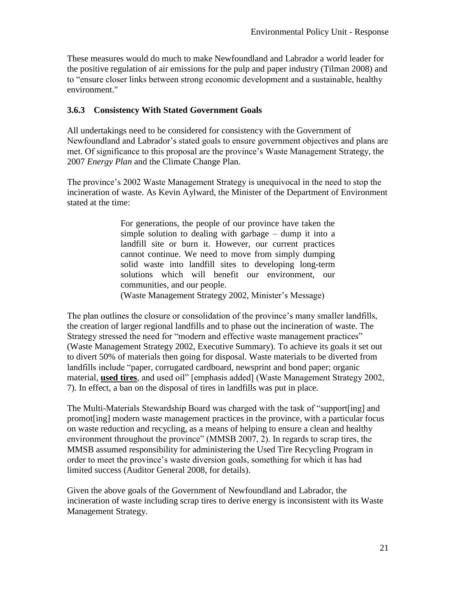These measures would do much to make Newfoundland and Labrador a world leader for the positive regulation of air emissions for the pulp and paper industry (Tilman 2008) and to "ensure closer links between strong economic development and a sustainable, healthy environment."

#### **3.6.3 Consistency With Stated Government Goals**

All undertakings need to be considered for consistency with the Government of Newfoundland and Labrador's stated goals to ensure government objectives and plans are met. Of significance to this proposal are the province's Waste Management Strategy, the 2007 *Energy Plan* and the Climate Change Plan.

The province's 2002 Waste Management Strategy is unequivocal in the need to stop the incineration of waste. As Kevin Aylward, the Minister of the Department of Environment stated at the time:

> For generations, the people of our province have taken the simple solution to dealing with garbage – dump it into a landfill site or burn it. However, our current practices cannot continue. We need to move from simply dumping solid waste into landfill sites to developing long-term solutions which will benefit our environment, our communities, and our people. (Waste Management Strategy 2002, Minister's Message)

The plan outlines the closure or consolidation of the province's many smaller landfills, the creation of larger regional landfills and to phase out the incineration of waste. The Strategy stressed the need for "modern and effective waste management practices" (Waste Management Strategy 2002, Executive Summary). To achieve its goals it set out to divert 50% of materials then going for disposal. Waste materials to be diverted from landfills include "paper, corrugated cardboard, newsprint and bond paper; organic material, used tires, and used oil" [emphasis added] (Waste Management Strategy 2002, 7). In effect, a ban on the disposal of tires in landfills was put in place.

The Multi-Materials Stewardship Board was charged with the task of "support [ing] and promot[ing] modern waste management practices in the province, with a particular focus on waste reduction and recycling, as a means of helping to ensure a clean and healthy environment throughout the province" (MMSB 2007, 2). In regards to scrap tires, the MMSB assumed responsibility for administering the Used Tire Recycling Program in order to meet the province's waste diversion goals, something for which it has had limited success (Auditor General 2008, for details).

Given the above goals of the Government of Newfoundland and Labrador, the incineration of waste including scrap tires to derive energy is inconsistent with its Waste Management Strategy.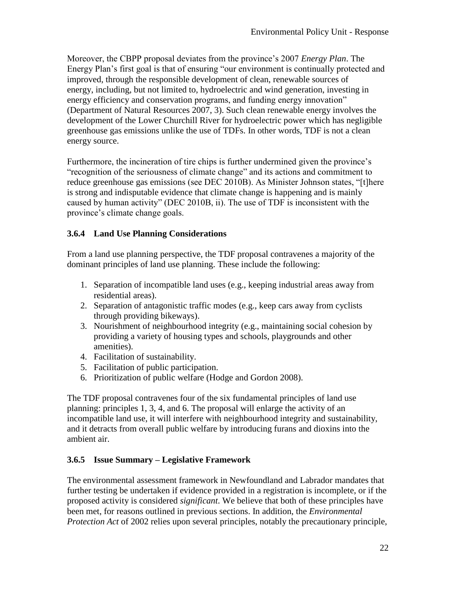Moreover, the CBPP proposal deviates from the province's 2007 *Energy Plan*. The Energy Plan's first goal is that of ensuring "our environment is continually protected and improved, through the responsible development of clean, renewable sources of energy, including, but not limited to, hydroelectric and wind generation, investing in energy efficiency and conservation programs, and funding energy innovation" (Department of Natural Resources 2007, 3). Such clean renewable energy involves the development of the Lower Churchill River for hydroelectric power which has negligible greenhouse gas emissions unlike the use of TDFs. In other words, TDF is not a clean energy source.

Furthermore, the incineration of tire chips is further undermined given the province's "recognition of the seriousness of climate change" and its actions and commitment to reduce greenhouse gas emissions (see DEC 2010B). As Minister Johnson states, "[t]here is strong and indisputable evidence that climate change is happening and is mainly caused by human activity" (DEC 2010B, ii). The use of TDF is inconsistent with the province's climate change goals.

#### **3.6.4 Land Use Planning Considerations**

From a land use planning perspective, the TDF proposal contravenes a majority of the dominant principles of land use planning. These include the following:

- 1. Separation of incompatible land uses (e.g., keeping industrial areas away from residential areas).
- 2. Separation of antagonistic traffic modes (e.g., keep cars away from cyclists through providing bikeways).
- 3. Nourishment of neighbourhood integrity (e.g., maintaining social cohesion by providing a variety of housing types and schools, playgrounds and other amenities).
- 4. Facilitation of sustainability.
- 5. Facilitation of public participation.
- 6. Prioritization of public welfare (Hodge and Gordon 2008).

The TDF proposal contravenes four of the six fundamental principles of land use planning: principles 1, 3, 4, and 6. The proposal will enlarge the activity of an incompatible land use, it will interfere with neighbourhood integrity and sustainability, and it detracts from overall public welfare by introducing furans and dioxins into the ambient air.

#### **3.6.5 Issue Summary – Legislative Framework**

The environmental assessment framework in Newfoundland and Labrador mandates that further testing be undertaken if evidence provided in a registration is incomplete, or if the proposed activity is considered *significant*. We believe that both of these principles have been met, for reasons outlined in previous sections. In addition, the *Environmental Protection Act* of 2002 relies upon several principles, notably the precautionary principle,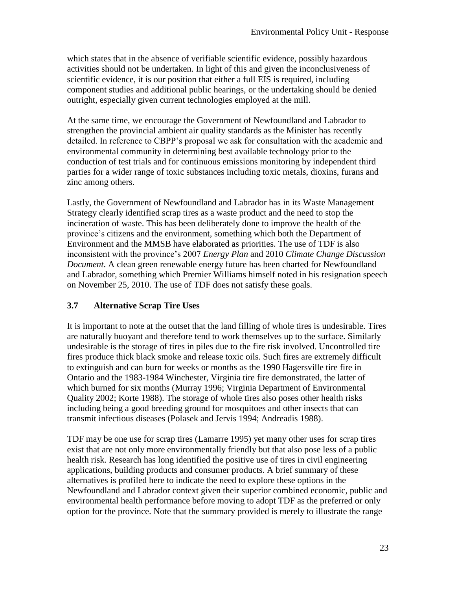which states that in the absence of verifiable scientific evidence, possibly hazardous activities should not be undertaken. In light of this and given the inconclusiveness of scientific evidence, it is our position that either a full EIS is required, including component studies and additional public hearings, or the undertaking should be denied outright, especially given current technologies employed at the mill.

At the same time, we encourage the Government of Newfoundland and Labrador to strengthen the provincial ambient air quality standards as the Minister has recently detailed. In reference to CBPP's proposal we ask for consultation with the academic and environmental community in determining best available technology prior to the conduction of test trials and for continuous emissions monitoring by independent third parties for a wider range of toxic substances including toxic metals, dioxins, furans and zinc among others.

Lastly, the Government of Newfoundland and Labrador has in its Waste Management Strategy clearly identified scrap tires as a waste product and the need to stop the incineration of waste. This has been deliberately done to improve the health of the province's citizens and the environment, something which both the Department of Environment and the MMSB have elaborated as priorities. The use of TDF is also inconsistent with the province's 2007 *Energy Plan* and 2010 *Climate Change Discussion Document*. A clean green renewable energy future has been charted for Newfoundland and Labrador, something which Premier Williams himself noted in his resignation speech on November 25, 2010. The use of TDF does not satisfy these goals.

## **3.7 Alternative Scrap Tire Uses**

It is important to note at the outset that the land filling of whole tires is undesirable. Tires are naturally buoyant and therefore tend to work themselves up to the surface. Similarly undesirable is the storage of tires in piles due to the fire risk involved. Uncontrolled tire fires produce thick black smoke and release toxic oils. Such fires are extremely difficult to extinguish and can burn for weeks or months as the 1990 Hagersville tire fire in Ontario and the 1983-1984 Winchester, Virginia tire fire demonstrated, the latter of which burned for six months (Murray 1996; Virginia Department of Environmental Quality 2002; Korte 1988). The storage of whole tires also poses other health risks including being a good breeding ground for mosquitoes and other insects that can transmit infectious diseases (Polasek and Jervis 1994; Andreadis 1988).

TDF may be one use for scrap tires (Lamarre 1995) yet many other uses for scrap tires exist that are not only more environmentally friendly but that also pose less of a public health risk. Research has long identified the positive use of tires in civil engineering applications, building products and consumer products. A brief summary of these alternatives is profiled here to indicate the need to explore these options in the Newfoundland and Labrador context given their superior combined economic, public and environmental health performance before moving to adopt TDF as the preferred or only option for the province. Note that the summary provided is merely to illustrate the range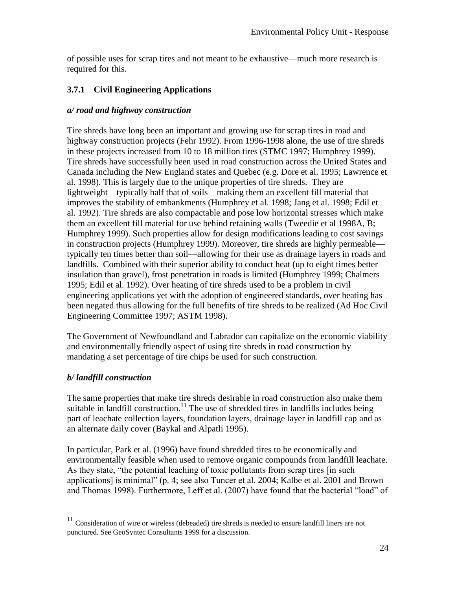of possible uses for scrap tires and not meant to be exhaustive—much more research is required for this.

## **3.7.1 Civil Engineering Applications**

#### *a/ road and highway construction*

Tire shreds have long been an important and growing use for scrap tires in road and highway construction projects (Fehr 1992). From 1996-1998 alone, the use of tire shreds in these projects increased from 10 to 18 million tires (STMC 1997; Humphrey 1999). Tire shreds have successfully been used in road construction across the United States and Canada including the New England states and Quebec (e.g. Dore et al. 1995; Lawrence et al. 1998). This is largely due to the unique properties of tire shreds. They are lightweight—typically half that of soils—making them an excellent fill material that improves the stability of embankments (Humphrey et al. 1998; Jang et al. 1998; Edil et al. 1992). Tire shreds are also compactable and pose low horizontal stresses which make them an excellent fill material for use behind retaining walls (Tweedie et al 1998A, B; Humphrey 1999). Such properties allow for design modifications leading to cost savings in construction projects (Humphrey 1999). Moreover, tire shreds are highly permeable typically ten times better than soil—allowing for their use as drainage layers in roads and landfills. Combined with their superior ability to conduct heat (up to eight times better insulation than gravel), frost penetration in roads is limited (Humphrey 1999; Chalmers 1995; Edil et al. 1992). Over heating of tire shreds used to be a problem in civil engineering applications yet with the adoption of engineered standards, over heating has been negated thus allowing for the full benefits of tire shreds to be realized (Ad Hoc Civil Engineering Committee 1997; ASTM 1998).

The Government of Newfoundland and Labrador can capitalize on the economic viability and environmentally friendly aspect of using tire shreds in road construction by mandating a set percentage of tire chips be used for such construction.

#### *b/ landfill construction*

 $\overline{a}$ 

The same properties that make tire shreds desirable in road construction also make them suitable in landfill construction.<sup>11</sup> The use of shredded tires in landfills includes being part of leachate collection layers, foundation layers, drainage layer in landfill cap and as an alternate daily cover (Baykal and Alpatli 1995).

In particular, Park et al. (1996) have found shredded tires to be economically and environmentally feasible when used to remove organic compounds from landfill leachate. As they state, "the potential leaching of toxic pollutants from scrap tires [in such applications] is minimal" (p. 4; see also Tuncer et al. 2004; Kalbe et al. 2001 and Brown and Thomas 1998). Furthermore, Leff et al. (2007) have found that the bacterial "load" of

 $11$  Consideration of wire or wireless (debeaded) tire shreds is needed to ensure landfill liners are not punctured. See GeoSyntec Consultants 1999 for a discussion.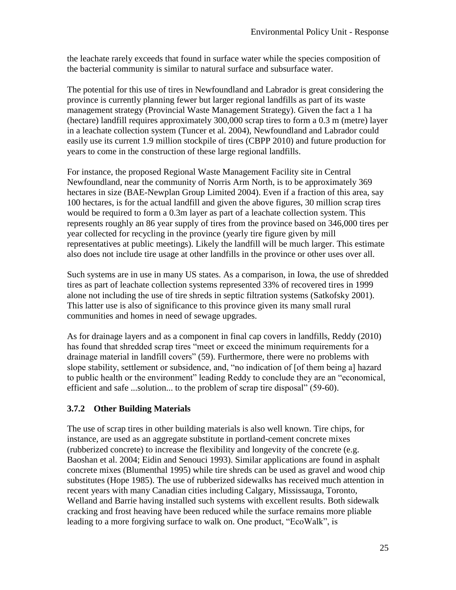the leachate rarely exceeds that found in surface water while the species composition of the bacterial community is similar to natural surface and subsurface water.

The potential for this use of tires in Newfoundland and Labrador is great considering the province is currently planning fewer but larger regional landfills as part of its waste management strategy (Provincial Waste Management Strategy). Given the fact a 1 ha (hectare) landfill requires approximately 300,000 scrap tires to form a 0.3 m (metre) layer in a leachate collection system (Tuncer et al. 2004), Newfoundland and Labrador could easily use its current 1.9 million stockpile of tires (CBPP 2010) and future production for years to come in the construction of these large regional landfills.

For instance, the proposed Regional Waste Management Facility site in Central Newfoundland, near the community of Norris Arm North, is to be approximately 369 hectares in size (BAE-Newplan Group Limited 2004). Even if a fraction of this area, say 100 hectares, is for the actual landfill and given the above figures, 30 million scrap tires would be required to form a 0.3m layer as part of a leachate collection system. This represents roughly an 86 year supply of tires from the province based on 346,000 tires per year collected for recycling in the province (yearly tire figure given by mill representatives at public meetings). Likely the landfill will be much larger. This estimate also does not include tire usage at other landfills in the province or other uses over all.

Such systems are in use in many US states. As a comparison, in Iowa, the use of shredded tires as part of leachate collection systems represented 33% of recovered tires in 1999 alone not including the use of tire shreds in septic filtration systems (Satkofsky 2001). This latter use is also of significance to this province given its many small rural communities and homes in need of sewage upgrades.

As for drainage layers and as a component in final cap covers in landfills, Reddy (2010) has found that shredded scrap tires "meet or exceed the minimum requirements for a drainage material in landfill covers" (59). Furthermore, there were no problems with slope stability, settlement or subsidence, and, "no indication of [of them being a] hazard to public health or the environment" leading Reddy to conclude they are an "economical, efficient and safe ...solution... to the problem of scrap tire disposal" (59-60).

## **3.7.2 Other Building Materials**

The use of scrap tires in other building materials is also well known. Tire chips, for instance, are used as an aggregate substitute in portland-cement concrete mixes (rubberized concrete) to increase the flexibility and longevity of the concrete (e.g. Baoshan et al. 2004; Eidin and Senouci 1993). Similar applications are found in asphalt concrete mixes (Blumenthal 1995) while tire shreds can be used as gravel and wood chip substitutes (Hope 1985). The use of rubberized sidewalks has received much attention in recent years with many Canadian cities including Calgary, Mississauga, Toronto, Welland and Barrie having installed such systems with excellent results. Both sidewalk cracking and frost heaving have been reduced while the surface remains more pliable leading to a more forgiving surface to walk on. One product, "EcoWalk", is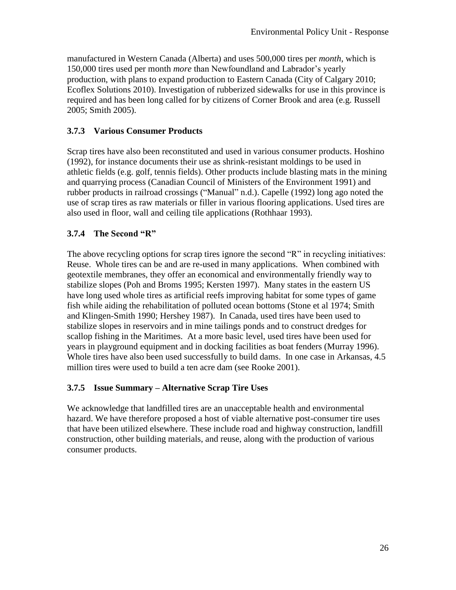manufactured in Western Canada (Alberta) and uses 500,000 tires per *month*, which is 150,000 tires used per month *more* than Newfoundland and Labrador's yearly production, with plans to expand production to Eastern Canada (City of Calgary 2010; Ecoflex Solutions 2010). Investigation of rubberized sidewalks for use in this province is required and has been long called for by citizens of Corner Brook and area (e.g. Russell 2005; Smith 2005).

## **3.7.3 Various Consumer Products**

Scrap tires have also been reconstituted and used in various consumer products. Hoshino (1992), for instance documents their use as shrink-resistant moldings to be used in athletic fields (e.g. golf, tennis fields). Other products include blasting mats in the mining and quarrying process (Canadian Council of Ministers of the Environment 1991) and rubber products in railroad crossings ("Manual" n.d.). Capelle (1992) long ago noted the use of scrap tires as raw materials or filler in various flooring applications. Used tires are also used in floor, wall and ceiling tile applications (Rothhaar 1993).

## **3.7.4 The Second "R"**

The above recycling options for scrap tires ignore the second "R" in recycling initiatives: Reuse. Whole tires can be and are re-used in many applications. When combined with geotextile membranes, they offer an economical and environmentally friendly way to stabilize slopes (Poh and Broms 1995; Kersten 1997). Many states in the eastern US have long used whole tires as artificial reefs improving habitat for some types of game fish while aiding the rehabilitation of polluted ocean bottoms (Stone et al 1974; Smith and Klingen-Smith 1990; Hershey 1987). In Canada, used tires have been used to stabilize slopes in reservoirs and in mine tailings ponds and to construct dredges for scallop fishing in the Maritimes. At a more basic level, used tires have been used for years in playground equipment and in docking facilities as boat fenders (Murray 1996). Whole tires have also been used successfully to build dams. In one case in Arkansas, 4.5 million tires were used to build a ten acre dam (see Rooke 2001).

#### **3.7.5 Issue Summary – Alternative Scrap Tire Uses**

We acknowledge that landfilled tires are an unacceptable health and environmental hazard. We have therefore proposed a host of viable alternative post-consumer tire uses that have been utilized elsewhere. These include road and highway construction, landfill construction, other building materials, and reuse, along with the production of various consumer products.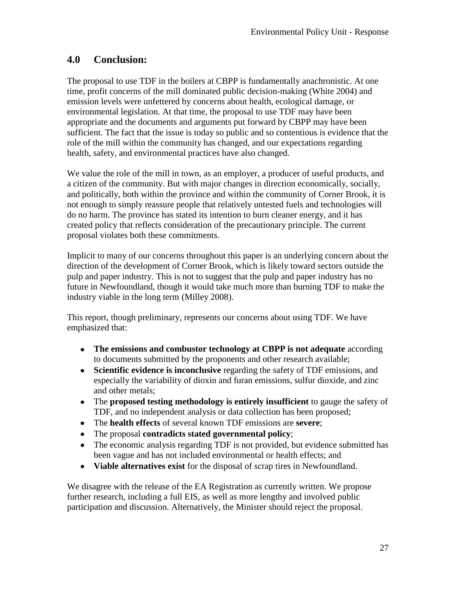# **4.0 Conclusion:**

The proposal to use TDF in the boilers at CBPP is fundamentally anachronistic. At one time, profit concerns of the mill dominated public decision-making (White 2004) and emission levels were unfettered by concerns about health, ecological damage, or environmental legislation. At that time, the proposal to use TDF may have been appropriate and the documents and arguments put forward by CBPP may have been sufficient. The fact that the issue is today so public and so contentious is evidence that the role of the mill within the community has changed, and our expectations regarding health, safety, and environmental practices have also changed.

We value the role of the mill in town, as an employer, a producer of useful products, and a citizen of the community. But with major changes in direction economically, socially, and politically, both within the province and within the community of Corner Brook, it is not enough to simply reassure people that relatively untested fuels and technologies will do no harm. The province has stated its intention to burn cleaner energy, and it has created policy that reflects consideration of the precautionary principle. The current proposal violates both these commitments.

Implicit to many of our concerns throughout this paper is an underlying concern about the direction of the development of Corner Brook, which is likely toward sectors outside the pulp and paper industry. This is not to suggest that the pulp and paper industry has no future in Newfoundland, though it would take much more than burning TDF to make the industry viable in the long term (Milley 2008).

This report, though preliminary, represents our concerns about using TDF. We have emphasized that:

- **The emissions and combustor technology at CBPP is not adequate** according to documents submitted by the proponents and other research available;
- **Scientific evidence is inconclusive** regarding the safety of TDF emissions, and especially the variability of dioxin and furan emissions, sulfur dioxide, and zinc and other metals;
- The **proposed testing methodology is entirely insufficient** to gauge the safety of TDF, and no independent analysis or data collection has been proposed;
- The **health effects** of several known TDF emissions are **severe**;
- The proposal **contradicts stated governmental policy**;
- The economic analysis regarding TDF is not provided, but evidence submitted has been vague and has not included environmental or health effects; and
- **Viable alternatives exist** for the disposal of scrap tires in Newfoundland.

We disagree with the release of the EA Registration as currently written. We propose further research, including a full EIS, as well as more lengthy and involved public participation and discussion. Alternatively, the Minister should reject the proposal.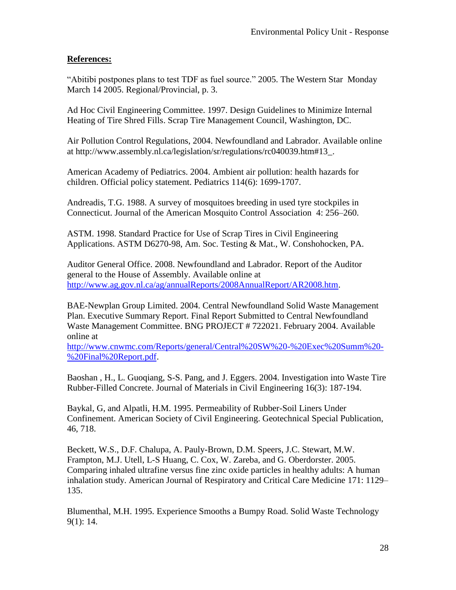#### **References:**

"Abitibi postpones plans to test TDF as fuel source." 2005. The Western Star Monday March 14 2005. Regional/Provincial, p. 3.

Ad Hoc Civil Engineering Committee. 1997. Design Guidelines to Minimize Internal Heating of Tire Shred Fills. Scrap Tire Management Council, Washington, DC.

Air Pollution Control Regulations, 2004. Newfoundland and Labrador. Available online at http://www.assembly.nl.ca/legislation/sr/regulations/rc040039.htm#13\_.

American Academy of Pediatrics. 2004. Ambient air pollution: health hazards for children. Official policy statement. Pediatrics 114(6): 1699-1707.

Andreadis, T.G. 1988. A survey of mosquitoes breeding in used tyre stockpiles in Connecticut. Journal of the American Mosquito Control Association 4: 256–260.

ASTM. 1998. Standard Practice for Use of Scrap Tires in Civil Engineering Applications. ASTM D6270-98, Am. Soc. Testing & Mat., W. Conshohocken, PA.

Auditor General Office. 2008. Newfoundland and Labrador. Report of the Auditor general to the House of Assembly. Available online at [http://www.ag.gov.nl.ca/ag/annualReports/2008AnnualReport/AR2008.htm.](http://www.ag.gov.nl.ca/ag/annualReports/2008AnnualReport/AR2008.htm)

BAE-Newplan Group Limited. 2004. Central Newfoundland Solid Waste Management Plan. Executive Summary Report. Final Report Submitted to Central Newfoundland Waste Management Committee. BNG PROJECT # 722021. February 2004. Available online at

[http://www.cnwmc.com/Reports/general/Central%20SW%20-%20Exec%20Summ%20-](http://www.cnwmc.com/Reports/general/Central%20SW%20-%20Exec%20Summ%20-%20Final%20Report.pdf) [%20Final%20Report.pdf.](http://www.cnwmc.com/Reports/general/Central%20SW%20-%20Exec%20Summ%20-%20Final%20Report.pdf)

Baoshan , H., L. Guoqiang, S-S. Pang, and J. Eggers. 2004. Investigation into Waste Tire Rubber-Filled Concrete. Journal of Materials in Civil Engineering 16(3): 187-194.

Baykal, G, and Alpatli, H.M. 1995. Permeability of Rubber-Soil Liners Under Confinement. American Society of Civil Engineering. Geotechnical Special Publication, 46, 718.

Beckett, W.S., D.F. Chalupa, A. Pauly-Brown, D.M. Speers, J.C. Stewart, M.W. Frampton, M.J. Utell, L-S Huang, C. Cox, W. Zareba, and G. Oberdorster. 2005. Comparing inhaled ultrafine versus fine zinc oxide particles in healthy adults: A human inhalation study. American Journal of Respiratory and Critical Care Medicine 171: 1129– 135.

Blumenthal, M.H. 1995. Experience Smooths a Bumpy Road. Solid Waste Technology 9(1): 14.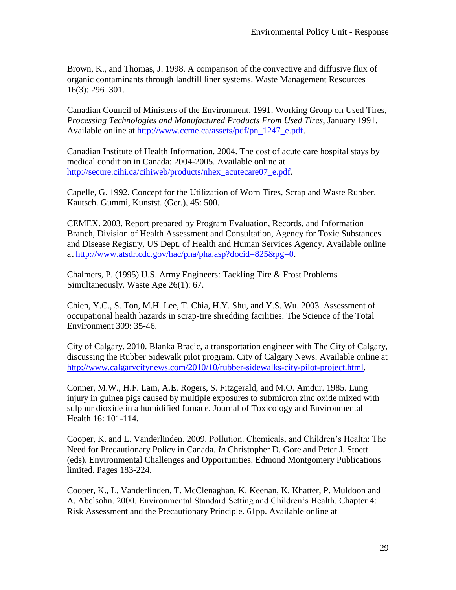Brown, K., and Thomas, J. 1998. A comparison of the convective and diffusive flux of organic contaminants through landfill liner systems. Waste Management Resources 16(3): 296–301.

Canadian Council of Ministers of the Environment. 1991. Working Group on Used Tires, *Processing Technologies and Manufactured Products From Used Tires*, January 1991. Available online at [http://www.ccme.ca/assets/pdf/pn\\_1247\\_e.pdf.](http://www.ccme.ca/assets/pdf/pn_1247_e.pdf)

Canadian Institute of Health Information. 2004. The cost of acute care hospital stays by medical condition in Canada: 2004-2005. Available online at [http://secure.cihi.ca/cihiweb/products/nhex\\_acutecare07\\_e.pdf.](http://secure.cihi.ca/cihiweb/products/nhex_acutecare07_e.pdf)

Capelle, G. 1992. Concept for the Utilization of Worn Tires, Scrap and Waste Rubber. Kautsch. Gummi, Kunstst. (Ger.), 45: 500.

CEMEX. 2003. Report prepared by Program Evaluation, Records, and Information Branch, Division of Health Assessment and Consultation, Agency for Toxic Substances and Disease Registry, US Dept. of Health and Human Services Agency. Available online at [http://www.atsdr.cdc.gov/hac/pha/pha.asp?docid=825&pg=0.](http://www.atsdr.cdc.gov/hac/pha/pha.asp?docid=825&pg=0)

Chalmers, P. (1995) U.S. Army Engineers: Tackling Tire & Frost Problems Simultaneously. Waste Age 26(1): 67.

Chien, Y.C., S. Ton, M.H. Lee, T. Chia, H.Y. Shu, and Y.S. Wu. 2003. Assessment of occupational health hazards in scrap-tire shredding facilities. The Science of the Total Environment 309: 35-46.

City of Calgary. 2010. Blanka Bracic, a transportation engineer with The City of Calgary, discussing the Rubber Sidewalk pilot program. City of Calgary News. Available online at [http://www.calgarycitynews.com/2010/10/rubber-sidewalks-city-pilot-project.html.](http://www.calgarycitynews.com/2010/10/rubber-sidewalks-city-pilot-project.html)

Conner, M.W., H.F. Lam, A.E. Rogers, S. Fitzgerald, and M.O. Amdur. 1985. Lung injury in guinea pigs caused by multiple exposures to submicron zinc oxide mixed with sulphur dioxide in a humidified furnace. Journal of Toxicology and Environmental Health 16: 101-114.

Cooper, K. and L. Vanderlinden. 2009. Pollution. Chemicals, and Children's Health: The Need for Precautionary Policy in Canada. *In* Christopher D. Gore and Peter J. Stoett (eds). Environmental Challenges and Opportunities. Edmond Montgomery Publications limited. Pages 183-224.

Cooper, K., L. Vanderlinden, T. McClenaghan, K. Keenan, K. Khatter, P. Muldoon and A. Abelsohn. 2000. Environmental Standard Setting and Children's Health. Chapter 4: Risk Assessment and the Precautionary Principle. 61pp. Available online at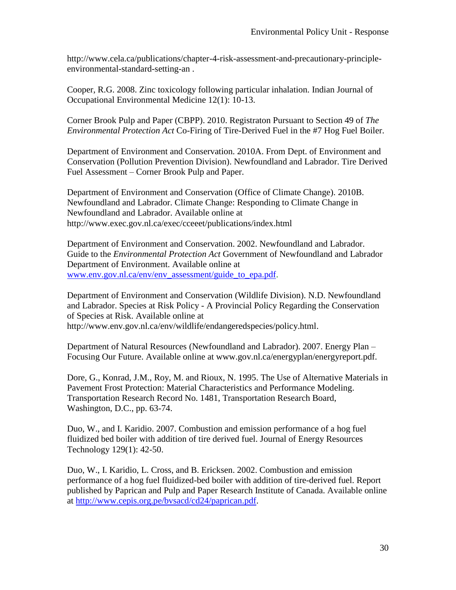http://www.cela.ca/publications/chapter-4-risk-assessment-and-precautionary-principleenvironmental-standard-setting-an .

Cooper, R.G. 2008. Zinc toxicology following particular inhalation. Indian Journal of Occupational Environmental Medicine 12(1): 10-13.

Corner Brook Pulp and Paper (CBPP). 2010. Registraton Pursuant to Section 49 of *The Environmental Protection Act* Co-Firing of Tire-Derived Fuel in the #7 Hog Fuel Boiler.

Department of Environment and Conservation. 2010A. From Dept. of Environment and Conservation (Pollution Prevention Division). Newfoundland and Labrador. Tire Derived Fuel Assessment – Corner Brook Pulp and Paper.

Department of Environment and Conservation (Office of Climate Change). 2010B. Newfoundland and Labrador. Climate Change: Responding to Climate Change in Newfoundland and Labrador. Available online at http://www.exec.gov.nl.ca/exec/cceeet/publications/index.html

Department of Environment and Conservation. 2002. Newfoundland and Labrador. Guide to the *Environmental Protection Act* Government of Newfoundland and Labrador Department of Environment. Available online at [www.env.gov.nl.ca/env/env\\_assessment/guide\\_to\\_epa.pdf.](http://www.env.gov.nl.ca/env/env_assessment/guide_to_epa.pdf)

Department of Environment and Conservation (Wildlife Division). N.D. Newfoundland and Labrador. Species at Risk Policy - A Provincial Policy Regarding the Conservation of Species at Risk. Available online at http://www.env.gov.nl.ca/env/wildlife/endangeredspecies/policy.html.

Department of Natural Resources (Newfoundland and Labrador). 2007. Energy Plan – Focusing Our Future. Available online at www.gov.nl.ca/energyplan/energyreport.pdf.

Dore, G., Konrad, J.M., Roy, M. and Rioux, N. 1995. The Use of Alternative Materials in Pavement Frost Protection: Material Characteristics and Performance Modeling. Transportation Research Record No. 1481, Transportation Research Board, Washington, D.C., pp. 63-74.

Duo, W., and I. Karidio. 2007. Combustion and emission performance of a hog fuel fluidized bed boiler with addition of tire derived fuel. Journal of Energy Resources Technology 129(1): 42-50.

Duo, W., I. Karidio, L. Cross, and B. Ericksen. 2002. Combustion and emission performance of a hog fuel fluidized-bed boiler with addition of tire-derived fuel. Report published by Paprican and Pulp and Paper Research Institute of Canada. Available online at [http://www.cepis.org.pe/bvsacd/cd24/paprican.pdf.](http://www.cepis.org.pe/bvsacd/cd24/paprican.pdf)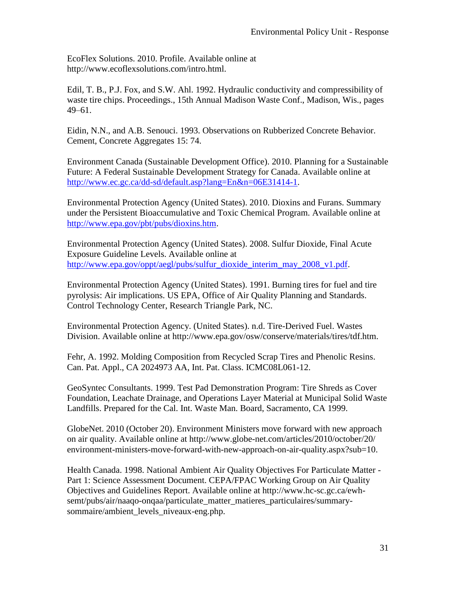EcoFlex Solutions. 2010. Profile. Available online at http://www.ecoflexsolutions.com/intro.html.

Edil, T. B., P.J. Fox, and S.W. Ahl. 1992. Hydraulic conductivity and compressibility of waste tire chips. Proceedings., 15th Annual Madison Waste Conf., Madison, Wis., pages 49–61.

Eidin, N.N., and A.B. Senouci. 1993. Observations on Rubberized Concrete Behavior. Cement, Concrete Aggregates 15: 74.

Environment Canada (Sustainable Development Office). 2010. Planning for a Sustainable Future: A Federal Sustainable Development Strategy for Canada. Available online at [http://www.ec.gc.ca/dd-sd/default.asp?lang=En&n=06E31414-1.](http://www.ec.gc.ca/dd-sd/default.asp?lang=En&n=06E31414-1)

Environmental Protection Agency (United States). 2010. Dioxins and Furans. Summary under the Persistent Bioaccumulative and Toxic Chemical Program. Available online at [http://www.epa.gov/pbt/pubs/dioxins.htm.](http://www.epa.gov/pbt/pubs/dioxins.htm)

Environmental Protection Agency (United States). 2008. Sulfur Dioxide, Final Acute Exposure Guideline Levels. Available online at [http://www.epa.gov/oppt/aegl/pubs/sulfur\\_dioxide\\_interim\\_may\\_2008\\_v1.pdf.](http://www.epa.gov/oppt/aegl/pubs/sulfur_dioxide_interim_may_2008_v1.pdf)

Environmental Protection Agency (United States). 1991. Burning tires for fuel and tire pyrolysis: Air implications. US EPA, Office of Air Quality Planning and Standards. Control Technology Center, Research Triangle Park, NC.

Environmental Protection Agency. (United States). n.d. Tire-Derived Fuel. Wastes Division. Available online at http://www.epa.gov/osw/conserve/materials/tires/tdf.htm.

Fehr, A. 1992. Molding Composition from Recycled Scrap Tires and Phenolic Resins. Can. Pat. Appl., CA 2024973 AA, Int. Pat. Class. ICMC08L061-12.

GeoSyntec Consultants. 1999. Test Pad Demonstration Program: Tire Shreds as Cover Foundation, Leachate Drainage, and Operations Layer Material at Municipal Solid Waste Landfills. Prepared for the Cal. Int. Waste Man. Board, Sacramento, CA 1999.

GlobeNet. 2010 (October 20). Environment Ministers move forward with new approach on air quality. Available online at http://www.globe-net.com/articles/2010/october/20/ environment-ministers-move-forward-with-new-approach-on-air-quality.aspx?sub=10.

Health Canada. 1998. National Ambient Air Quality Objectives For Particulate Matter - Part 1: Science Assessment Document. CEPA/FPAC Working Group on Air Quality Objectives and Guidelines Report. Available online at http://www.hc-sc.gc.ca/ewhsemt/pubs/air/naaqo-onqaa/particulate\_matter\_matieres\_particulaires/summarysommaire/ambient\_levels\_niveaux-eng.php.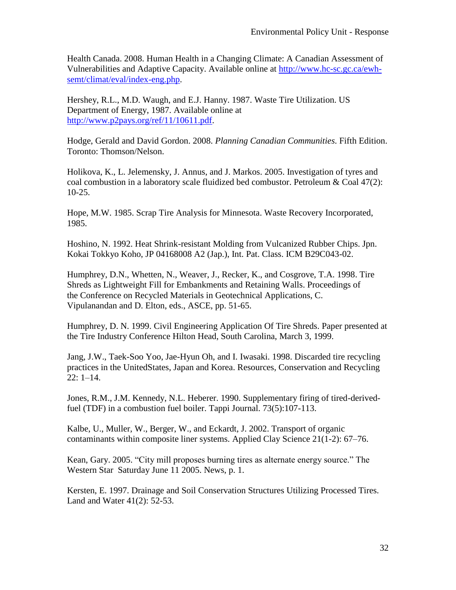Health Canada. 2008. Human Health in a Changing Climate: A Canadian Assessment of Vulnerabilities and Adaptive Capacity. Available online at [http://www.hc-sc.gc.ca/ewh](http://www.hc-sc.gc.ca/ewh-semt/climat/eval/index-eng.php)[semt/climat/eval/index-eng.php.](http://www.hc-sc.gc.ca/ewh-semt/climat/eval/index-eng.php)

Hershey, R.L., M.D. Waugh, and E.J. Hanny. 1987. Waste Tire Utilization. US Department of Energy, 1987. Available online at [http://www.p2pays.org/ref/11/10611.pdf.](http://www.p2pays.org/ref/11/10611.pdf)

Hodge, Gerald and David Gordon. 2008. *Planning Canadian Communities*. Fifth Edition. Toronto: Thomson/Nelson.

Holikova, K., L. Jelemensky, J. Annus, and J. Markos. 2005. Investigation of tyres and coal combustion in a laboratory scale fluidized bed combustor. Petroleum  $\&$  Coal 47(2): 10-25.

Hope, M.W. 1985. Scrap Tire Analysis for Minnesota. Waste Recovery Incorporated, 1985.

Hoshino, N. 1992. Heat Shrink-resistant Molding from Vulcanized Rubber Chips. Jpn. Kokai Tokkyo Koho, JP 04168008 A2 (Jap.), Int. Pat. Class. ICM B29C043-02.

Humphrey, D.N., Whetten, N., Weaver, J., Recker, K., and Cosgrove, T.A. 1998. Tire Shreds as Lightweight Fill for Embankments and Retaining Walls. Proceedings of the Conference on Recycled Materials in Geotechnical Applications, C. Vipulanandan and D. Elton, eds., ASCE, pp. 51-65.

Humphrey, D. N. 1999. Civil Engineering Application Of Tire Shreds. Paper presented at the Tire Industry Conference Hilton Head, South Carolina, March 3, 1999.

Jang, J.W., Taek-Soo Yoo, Jae-Hyun Oh, and I. Iwasaki. 1998. Discarded tire recycling practices in the UnitedStates, Japan and Korea. Resources, Conservation and Recycling 22: 1–14.

Jones, R.M., J.M. Kennedy, N.L. Heberer. 1990. Supplementary firing of tired-derivedfuel (TDF) in a combustion fuel boiler. Tappi Journal. 73(5):107-113.

Kalbe, U., Muller, W., Berger, W., and Eckardt, J. 2002. Transport of organic contaminants within composite liner systems. Applied Clay Science 21(1-2): 67–76.

Kean, Gary. 2005. "City mill proposes burning tires as alternate energy source." The Western Star Saturday June 11 2005. News, p. 1.

Kersten, E. 1997. Drainage and Soil Conservation Structures Utilizing Processed Tires. Land and Water 41(2): 52-53.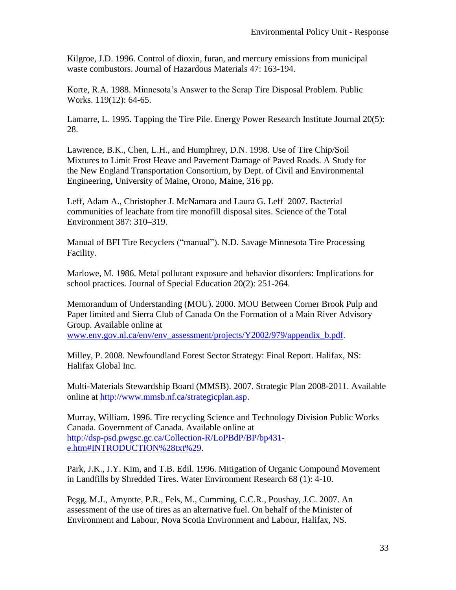Kilgroe, J.D. 1996. Control of dioxin, furan, and mercury emissions from municipal waste combustors. Journal of Hazardous Materials 47: 163-194.

Korte, R.A. 1988. Minnesota's Answer to the Scrap Tire Disposal Problem. Public Works. 119(12): 64-65.

Lamarre, L. 1995. Tapping the Tire Pile. Energy Power Research Institute Journal 20(5): 28.

Lawrence, B.K., Chen, L.H., and Humphrey, D.N. 1998. Use of Tire Chip/Soil Mixtures to Limit Frost Heave and Pavement Damage of Paved Roads. A Study for the New England Transportation Consortium, by Dept. of Civil and Environmental Engineering, University of Maine, Orono, Maine, 316 pp.

Leff, Adam A., Christopher J. McNamara and Laura G. Leff 2007. Bacterial communities of leachate from tire monofill disposal sites. Science of the Total Environment 387: 310–319.

Manual of BFI Tire Recyclers ("manual"). N.D. Savage Minnesota Tire Processing Facility.

Marlowe, M. 1986. Metal pollutant exposure and behavior disorders: Implications for school practices. Journal of Special Education 20(2): 251-264.

Memorandum of Understanding (MOU). 2000. MOU Between Corner Brook Pulp and Paper limited and Sierra Club of Canada On the Formation of a Main River Advisory Group. Available online at

[www.env.gov.nl.ca/env/env\\_assessment/projects/Y2002/979/appendix\\_b.pdf.](http://www.env.gov.nl.ca/env/env_assessment/projects/Y2002/979/appendix_b.pdf)

Milley, P. 2008. Newfoundland Forest Sector Strategy: Final Report. Halifax, NS: Halifax Global Inc.

Multi-Materials Stewardship Board (MMSB). 2007. Strategic Plan 2008-2011. Available online at [http://www.mmsb.nf.ca/strategicplan.asp.](http://www.mmsb.nf.ca/strategicplan.asp)

Murray, William. 1996. Tire recycling Science and Technology Division Public Works Canada. Government of Canada. Available online at [http://dsp-psd.pwgsc.gc.ca/Collection-R/LoPBdP/BP/bp431](http://dsp-psd.pwgsc.gc.ca/Collection-R/LoPBdP/BP/bp431-e.htm#INTRODUCTION%28txt%29) [e.htm#INTRODUCTION%28txt%29.](http://dsp-psd.pwgsc.gc.ca/Collection-R/LoPBdP/BP/bp431-e.htm#INTRODUCTION%28txt%29)

Park, J.K., J.Y. Kim, and T.B. Edil. 1996. Mitigation of Organic Compound Movement in Landfills by Shredded Tires. Water Environment Research 68 (1): 4-10.

Pegg, M.J., Amyotte, P.R., Fels, M., Cumming, C.C.R., Poushay, J.C. 2007. An assessment of the use of tires as an alternative fuel. On behalf of the Minister of Environment and Labour, Nova Scotia Environment and Labour, Halifax, NS.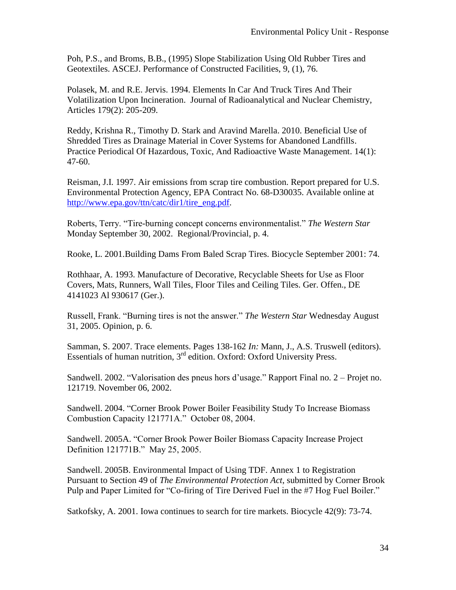Poh, P.S., and Broms, B.B., (1995) Slope Stabilization Using Old Rubber Tires and Geotextiles. ASCEJ. Performance of Constructed Facilities, 9, (1), 76.

Polasek, M. and R.E. Jervis. 1994. Elements In Car And Truck Tires And Their Volatilization Upon Incineration. Journal of Radioanalytical and Nuclear Chemistry*,*  Articles 179(2): 205-209.

Reddy, Krishna R., Timothy D. Stark and Aravind Marella. 2010. Beneficial Use of Shredded Tires as Drainage Material in Cover Systems for Abandoned Landfills. Practice Periodical Of Hazardous, Toxic, And Radioactive Waste Management. 14(1): 47-60.

Reisman, J.I. 1997. Air emissions from scrap tire combustion. Report prepared for U.S. Environmental Protection Agency, EPA Contract No. 68-D30035. Available online at [http://www.epa.gov/ttn/catc/dir1/tire\\_eng.pdf.](http://www.epa.gov/ttn/catc/dir1/tire_eng.pdf)

Roberts, Terry. "Tire-burning concept concerns environmentalist." *The Western Star* Monday September 30, 2002. Regional/Provincial, p. 4.

Rooke, L. 2001.Building Dams From Baled Scrap Tires. Biocycle September 2001: 74.

Rothhaar, A. 1993. Manufacture of Decorative, Recyclable Sheets for Use as Floor Covers, Mats, Runners, Wall Tiles, Floor Tiles and Ceiling Tiles. Ger. Offen., DE 4141023 Al 930617 (Ger.).

Russell, Frank. "Burning tires is not the answer." *The Western Star* Wednesday August 31, 2005. Opinion, p. 6.

Samman, S. 2007. Trace elements. Pages 138-162 *In:* Mann, J., A.S. Truswell (editors). Essentials of human nutrition,  $3<sup>rd</sup>$  edition. Oxford: Oxford University Press.

Sandwell. 2002. "Valorisation des pneus hors d'usage." Rapport Final no. 2 – Projet no. 121719. November 06, 2002.

Sandwell. 2004. "Corner Brook Power Boiler Feasibility Study To Increase Biomass Combustion Capacity 121771A." October 08, 2004.

Sandwell. 2005A. "Corner Brook Power Boiler Biomass Capacity Increase Project Definition 121771B." May 25, 2005.

Sandwell. 2005B. Environmental Impact of Using TDF. Annex 1 to Registration Pursuant to Section 49 of *The Environmental Protection Act*, submitted by Corner Brook Pulp and Paper Limited for "Co-firing of Tire Derived Fuel in the #7 Hog Fuel Boiler."

Satkofsky, A. 2001. Iowa continues to search for tire markets. Biocycle 42(9): 73-74.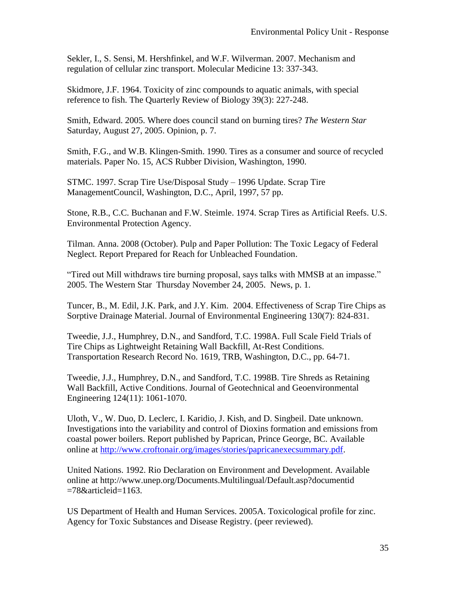Sekler, I., S. Sensi, M. Hershfinkel, and W.F. Wilverman. 2007. Mechanism and regulation of cellular zinc transport. Molecular Medicine 13: 337-343.

Skidmore, J.F. 1964. Toxicity of zinc compounds to aquatic animals, with special reference to fish. The Quarterly Review of Biology 39(3): 227-248.

Smith, Edward. 2005. Where does council stand on burning tires? *The Western Star*  Saturday, August 27, 2005. Opinion, p. 7.

Smith, F.G., and W.B. Klingen-Smith. 1990. Tires as a consumer and source of recycled materials. Paper No. 15, ACS Rubber Division, Washington, 1990.

STMC. 1997. Scrap Tire Use/Disposal Study – 1996 Update. Scrap Tire ManagementCouncil, Washington, D.C., April, 1997, 57 pp.

Stone, R.B., C.C. Buchanan and F.W. Steimle. 1974. Scrap Tires as Artificial Reefs. U.S. Environmental Protection Agency.

Tilman. Anna. 2008 (October). Pulp and Paper Pollution: The Toxic Legacy of Federal Neglect. Report Prepared for Reach for Unbleached Foundation.

"Tired out Mill withdraws tire burning proposal, says talks with MMSB at an impasse." 2005. The Western Star Thursday November 24, 2005. News, p. 1.

Tuncer, B., M. Edil, J.K. Park, and J.Y. Kim. 2004. Effectiveness of Scrap Tire Chips as Sorptive Drainage Material. Journal of Environmental Engineering 130(7): 824-831.

Tweedie, J.J., Humphrey, D.N., and Sandford, T.C. 1998A. Full Scale Field Trials of Tire Chips as Lightweight Retaining Wall Backfill, At-Rest Conditions. Transportation Research Record No. 1619, TRB, Washington, D.C., pp. 64-71.

Tweedie, J.J., Humphrey, D.N., and Sandford, T.C. 1998B. Tire Shreds as Retaining Wall Backfill, Active Conditions. Journal of Geotechnical and Geoenvironmental Engineering 124(11): 1061-1070.

Uloth, V., W. Duo, D. Leclerc, I. Karidio, J. Kish, and D. Singbeil. Date unknown. Investigations into the variability and control of Dioxins formation and emissions from coastal power boilers. Report published by Paprican, Prince George, BC. Available online at [http://www.croftonair.org/images/stories/papricanexecsummary.pdf.](http://www.croftonair.org/images/stories/papricanexecsummary.pdf)

United Nations. 1992. Rio Declaration on Environment and Development. Available online at http://www.unep.org/Documents.Multilingual/Default.asp?documentid =78&articleid=1163.

US Department of Health and Human Services. 2005A. Toxicological profile for zinc. Agency for Toxic Substances and Disease Registry. (peer reviewed).